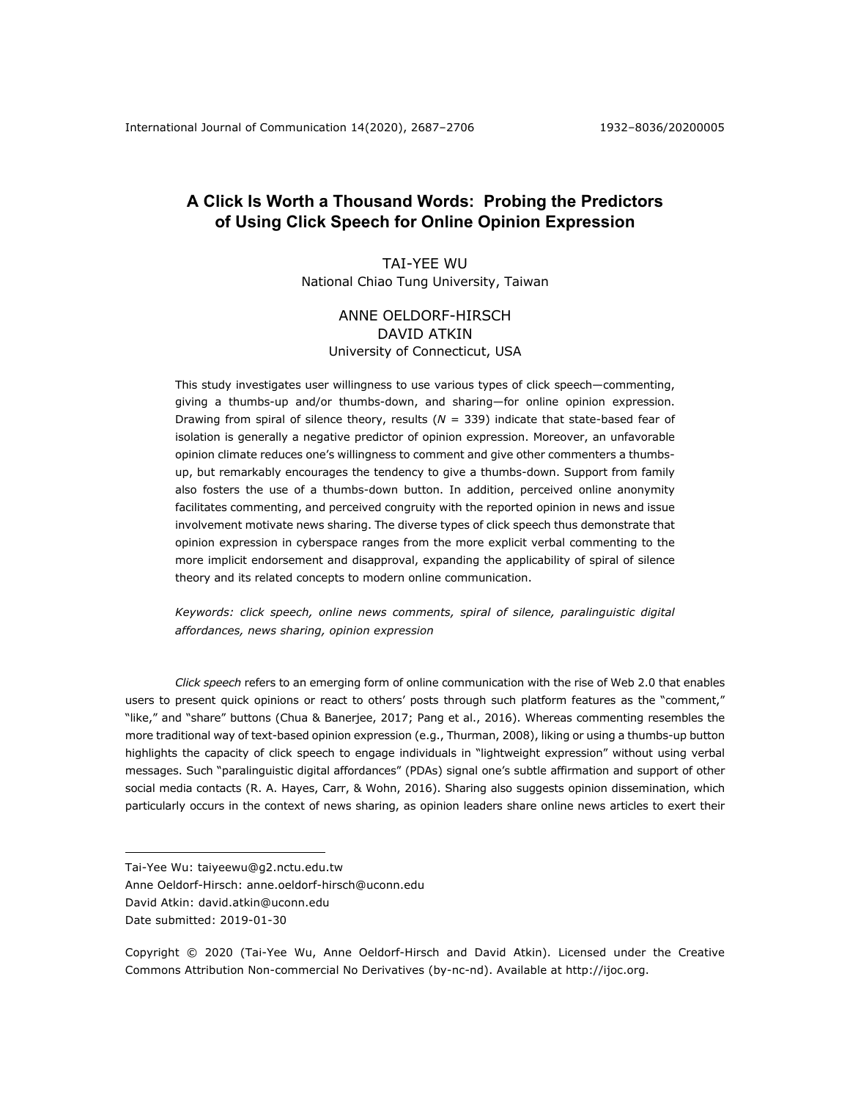# **A Click Is Worth a Thousand Words: Probing the Predictors of Using Click Speech for Online Opinion Expression**

TAI-YEE WU National Chiao Tung University, Taiwan

## ANNE OELDORF-HIRSCH DAVID ATKIN University of Connecticut, USA

This study investigates user willingness to use various types of click speech—commenting, giving a thumbs-up and/or thumbs-down, and sharing—for online opinion expression. Drawing from spiral of silence theory, results (*N* = 339) indicate that state-based fear of isolation is generally a negative predictor of opinion expression. Moreover, an unfavorable opinion climate reduces one's willingness to comment and give other commenters a thumbsup, but remarkably encourages the tendency to give a thumbs-down. Support from family also fosters the use of a thumbs-down button. In addition, perceived online anonymity facilitates commenting, and perceived congruity with the reported opinion in news and issue involvement motivate news sharing. The diverse types of click speech thus demonstrate that opinion expression in cyberspace ranges from the more explicit verbal commenting to the more implicit endorsement and disapproval, expanding the applicability of spiral of silence theory and its related concepts to modern online communication.

*Keywords: click speech, online news comments, spiral of silence, paralinguistic digital affordances, news sharing, opinion expression*

*Click speech* refers to an emerging form of online communication with the rise of Web 2.0 that enables users to present quick opinions or react to others' posts through such platform features as the "comment," "like," and "share" buttons (Chua & Banerjee, 2017; Pang et al., 2016). Whereas commenting resembles the more traditional way of text-based opinion expression (e.g., Thurman, 2008), liking or using a thumbs-up button highlights the capacity of click speech to engage individuals in "lightweight expression" without using verbal messages. Such "paralinguistic digital affordances" (PDAs) signal one's subtle affirmation and support of other social media contacts (R. A. Hayes, Carr, & Wohn, 2016). Sharing also suggests opinion dissemination, which particularly occurs in the context of news sharing, as opinion leaders share online news articles to exert their

Tai-Yee Wu: taiyeewu@g2.nctu.edu.tw

Anne Oeldorf-Hirsch: anne.oeldorf-hirsch@uconn.edu

David Atkin: david.atkin@uconn.edu

Date submitted: 2019-01-30

Copyright © 2020 (Tai-Yee Wu, Anne Oeldorf-Hirsch and David Atkin). Licensed under the Creative Commons Attribution Non-commercial No Derivatives (by-nc-nd). Available at http://ijoc.org.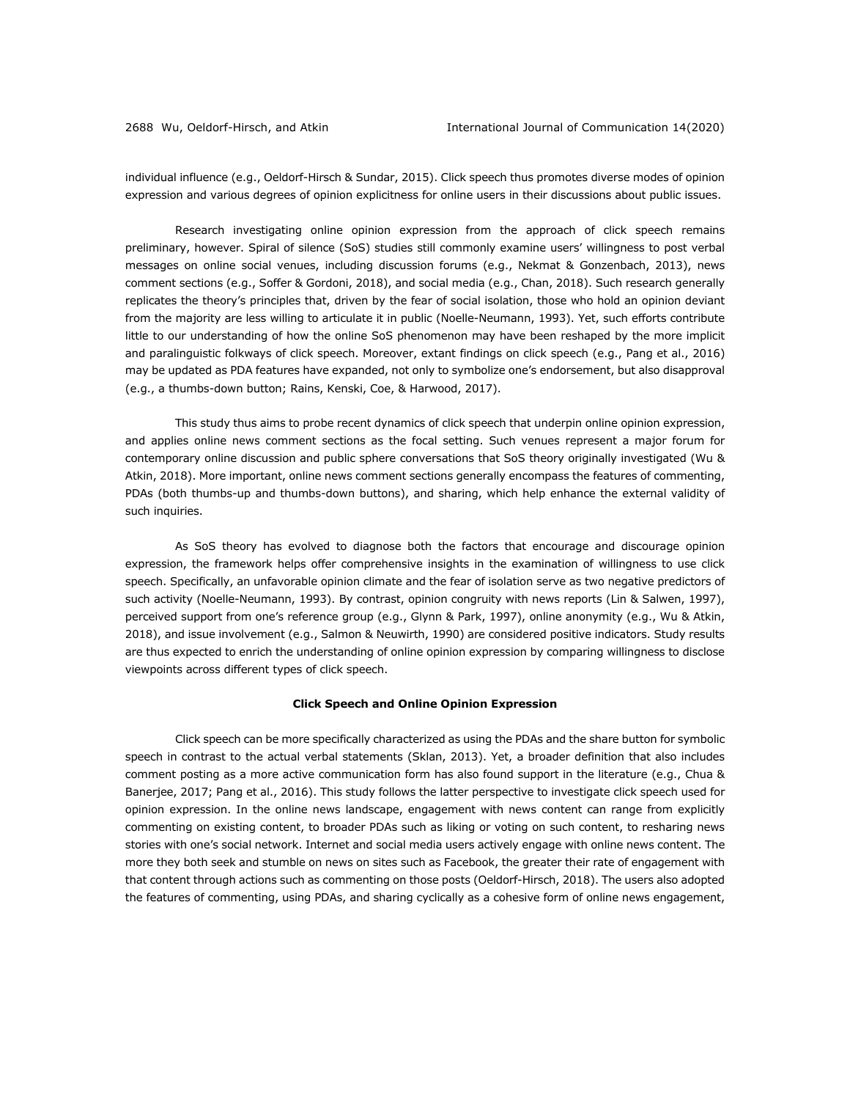individual influence (e.g., Oeldorf-Hirsch & Sundar, 2015). Click speech thus promotes diverse modes of opinion expression and various degrees of opinion explicitness for online users in their discussions about public issues.

Research investigating online opinion expression from the approach of click speech remains preliminary, however. Spiral of silence (SoS) studies still commonly examine users' willingness to post verbal messages on online social venues, including discussion forums (e.g., Nekmat & Gonzenbach, 2013), news comment sections (e.g., Soffer & Gordoni, 2018), and social media (e.g., Chan, 2018). Such research generally replicates the theory's principles that, driven by the fear of social isolation, those who hold an opinion deviant from the majority are less willing to articulate it in public (Noelle-Neumann, 1993). Yet, such efforts contribute little to our understanding of how the online SoS phenomenon may have been reshaped by the more implicit and paralinguistic folkways of click speech. Moreover, extant findings on click speech (e.g., Pang et al., 2016) may be updated as PDA features have expanded, not only to symbolize one's endorsement, but also disapproval (e.g., a thumbs-down button; Rains, Kenski, Coe, & Harwood, 2017).

This study thus aims to probe recent dynamics of click speech that underpin online opinion expression, and applies online news comment sections as the focal setting. Such venues represent a major forum for contemporary online discussion and public sphere conversations that SoS theory originally investigated (Wu & Atkin, 2018). More important, online news comment sections generally encompass the features of commenting, PDAs (both thumbs-up and thumbs-down buttons), and sharing, which help enhance the external validity of such inquiries.

As SoS theory has evolved to diagnose both the factors that encourage and discourage opinion expression, the framework helps offer comprehensive insights in the examination of willingness to use click speech. Specifically, an unfavorable opinion climate and the fear of isolation serve as two negative predictors of such activity (Noelle-Neumann, 1993). By contrast, opinion congruity with news reports (Lin & Salwen, 1997), perceived support from one's reference group (e.g., Glynn & Park, 1997), online anonymity (e.g., Wu & Atkin, 2018), and issue involvement (e.g., Salmon & Neuwirth, 1990) are considered positive indicators. Study results are thus expected to enrich the understanding of online opinion expression by comparing willingness to disclose viewpoints across different types of click speech.

## **Click Speech and Online Opinion Expression**

Click speech can be more specifically characterized as using the PDAs and the share button for symbolic speech in contrast to the actual verbal statements (Sklan, 2013). Yet, a broader definition that also includes comment posting as a more active communication form has also found support in the literature (e.g., Chua & Banerjee, 2017; Pang et al., 2016). This study follows the latter perspective to investigate click speech used for opinion expression. In the online news landscape, engagement with news content can range from explicitly commenting on existing content, to broader PDAs such as liking or voting on such content, to resharing news stories with one's social network. Internet and social media users actively engage with online news content. The more they both seek and stumble on news on sites such as Facebook, the greater their rate of engagement with that content through actions such as commenting on those posts (Oeldorf-Hirsch, 2018). The users also adopted the features of commenting, using PDAs, and sharing cyclically as a cohesive form of online news engagement,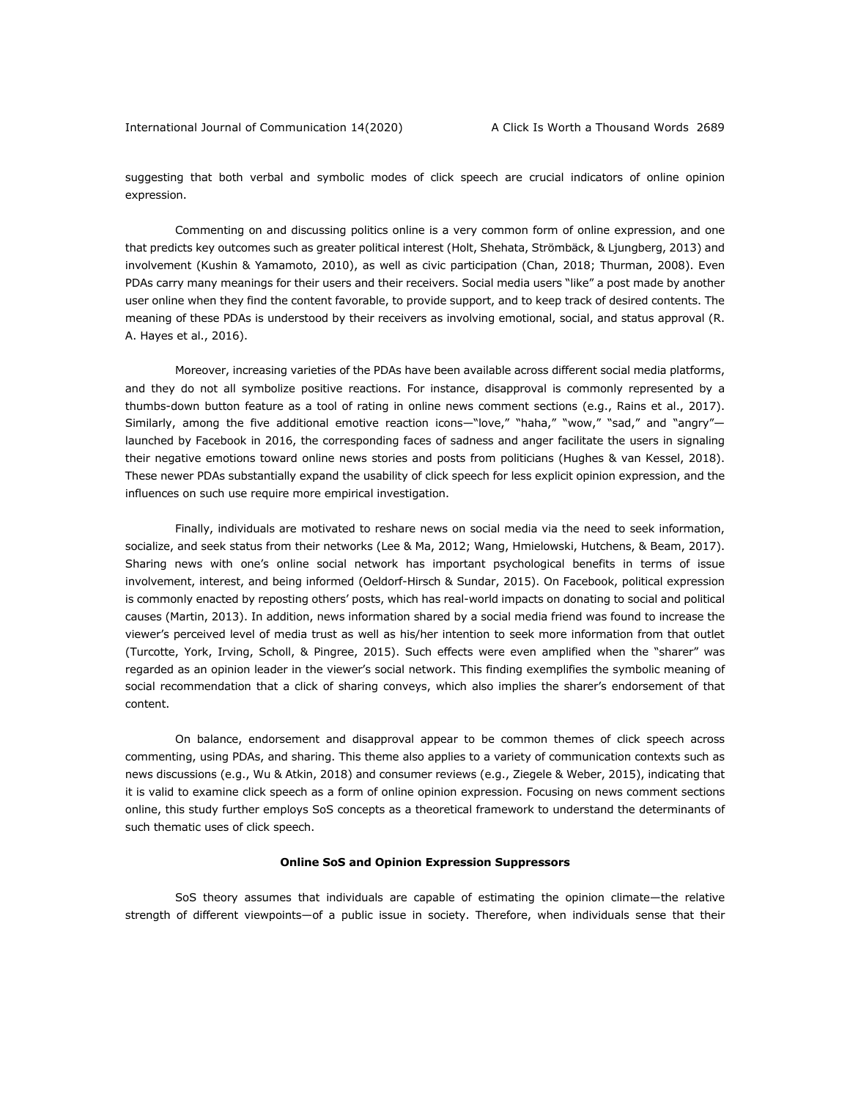suggesting that both verbal and symbolic modes of click speech are crucial indicators of online opinion expression.

Commenting on and discussing politics online is a very common form of online expression, and one that predicts key outcomes such as greater political interest (Holt, Shehata, Strömbäck, & Ljungberg, 2013) and involvement (Kushin & Yamamoto, 2010), as well as civic participation (Chan, 2018; Thurman, 2008). Even PDAs carry many meanings for their users and their receivers. Social media users "like" a post made by another user online when they find the content favorable, to provide support, and to keep track of desired contents. The meaning of these PDAs is understood by their receivers as involving emotional, social, and status approval (R. A. Hayes et al., 2016).

Moreover, increasing varieties of the PDAs have been available across different social media platforms, and they do not all symbolize positive reactions. For instance, disapproval is commonly represented by a thumbs-down button feature as a tool of rating in online news comment sections (e.g., Rains et al., 2017). Similarly, among the five additional emotive reaction icons—"love," "haha," "wow," "sad," and "angry" launched by Facebook in 2016, the corresponding faces of sadness and anger facilitate the users in signaling their negative emotions toward online news stories and posts from politicians (Hughes & van Kessel, 2018). These newer PDAs substantially expand the usability of click speech for less explicit opinion expression, and the influences on such use require more empirical investigation.

Finally, individuals are motivated to reshare news on social media via the need to seek information, socialize, and seek status from their networks (Lee & Ma, 2012; Wang, Hmielowski, Hutchens, & Beam, 2017). Sharing news with one's online social network has important psychological benefits in terms of issue involvement, interest, and being informed (Oeldorf-Hirsch & Sundar, 2015). On Facebook, political expression is commonly enacted by reposting others' posts, which has real-world impacts on donating to social and political causes (Martin, 2013). In addition, news information shared by a social media friend was found to increase the viewer's perceived level of media trust as well as his/her intention to seek more information from that outlet (Turcotte, York, Irving, Scholl, & Pingree, 2015). Such effects were even amplified when the "sharer" was regarded as an opinion leader in the viewer's social network. This finding exemplifies the symbolic meaning of social recommendation that a click of sharing conveys, which also implies the sharer's endorsement of that content.

On balance, endorsement and disapproval appear to be common themes of click speech across commenting, using PDAs, and sharing. This theme also applies to a variety of communication contexts such as news discussions (e.g., Wu & Atkin, 2018) and consumer reviews (e.g., Ziegele & Weber, 2015), indicating that it is valid to examine click speech as a form of online opinion expression. Focusing on news comment sections online, this study further employs SoS concepts as a theoretical framework to understand the determinants of such thematic uses of click speech.

## **Online SoS and Opinion Expression Suppressors**

SoS theory assumes that individuals are capable of estimating the opinion climate—the relative strength of different viewpoints—of a public issue in society. Therefore, when individuals sense that their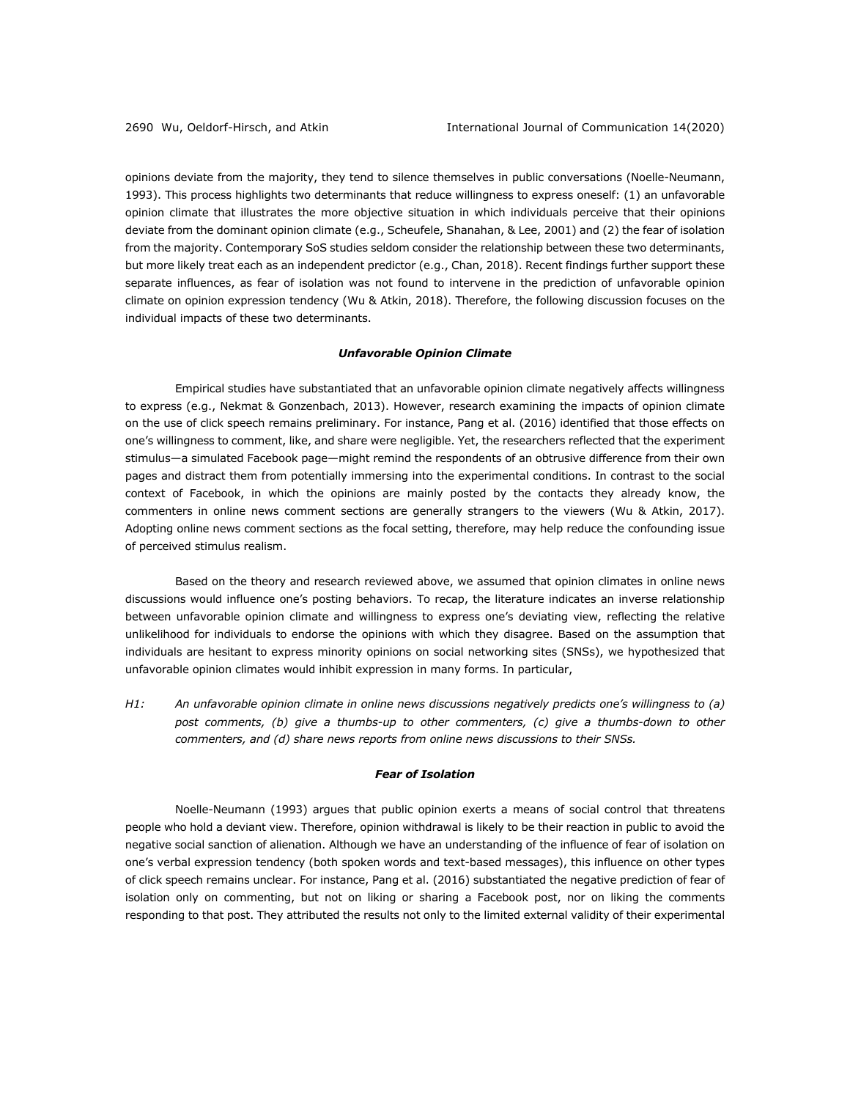opinions deviate from the majority, they tend to silence themselves in public conversations (Noelle-Neumann, 1993). This process highlights two determinants that reduce willingness to express oneself: (1) an unfavorable opinion climate that illustrates the more objective situation in which individuals perceive that their opinions deviate from the dominant opinion climate (e.g., Scheufele, Shanahan, & Lee, 2001) and (2) the fear of isolation from the majority. Contemporary SoS studies seldom consider the relationship between these two determinants, but more likely treat each as an independent predictor (e.g., Chan, 2018). Recent findings further support these separate influences, as fear of isolation was not found to intervene in the prediction of unfavorable opinion climate on opinion expression tendency (Wu & Atkin, 2018). Therefore, the following discussion focuses on the individual impacts of these two determinants.

## *Unfavorable Opinion Climate*

Empirical studies have substantiated that an unfavorable opinion climate negatively affects willingness to express (e.g., Nekmat & Gonzenbach, 2013). However, research examining the impacts of opinion climate on the use of click speech remains preliminary. For instance, Pang et al. (2016) identified that those effects on one's willingness to comment, like, and share were negligible. Yet, the researchers reflected that the experiment stimulus—a simulated Facebook page—might remind the respondents of an obtrusive difference from their own pages and distract them from potentially immersing into the experimental conditions. In contrast to the social context of Facebook, in which the opinions are mainly posted by the contacts they already know, the commenters in online news comment sections are generally strangers to the viewers (Wu & Atkin, 2017). Adopting online news comment sections as the focal setting, therefore, may help reduce the confounding issue of perceived stimulus realism.

Based on the theory and research reviewed above, we assumed that opinion climates in online news discussions would influence one's posting behaviors. To recap, the literature indicates an inverse relationship between unfavorable opinion climate and willingness to express one's deviating view, reflecting the relative unlikelihood for individuals to endorse the opinions with which they disagree. Based on the assumption that individuals are hesitant to express minority opinions on social networking sites (SNSs), we hypothesized that unfavorable opinion climates would inhibit expression in many forms. In particular,

*H1: An unfavorable opinion climate in online news discussions negatively predicts one's willingness to (a) post comments, (b) give a thumbs-up to other commenters, (c) give a thumbs-down to other commenters, and (d) share news reports from online news discussions to their SNSs.*

#### *Fear of Isolation*

Noelle-Neumann (1993) argues that public opinion exerts a means of social control that threatens people who hold a deviant view. Therefore, opinion withdrawal is likely to be their reaction in public to avoid the negative social sanction of alienation. Although we have an understanding of the influence of fear of isolation on one's verbal expression tendency (both spoken words and text-based messages), this influence on other types of click speech remains unclear. For instance, Pang et al. (2016) substantiated the negative prediction of fear of isolation only on commenting, but not on liking or sharing a Facebook post, nor on liking the comments responding to that post. They attributed the results not only to the limited external validity of their experimental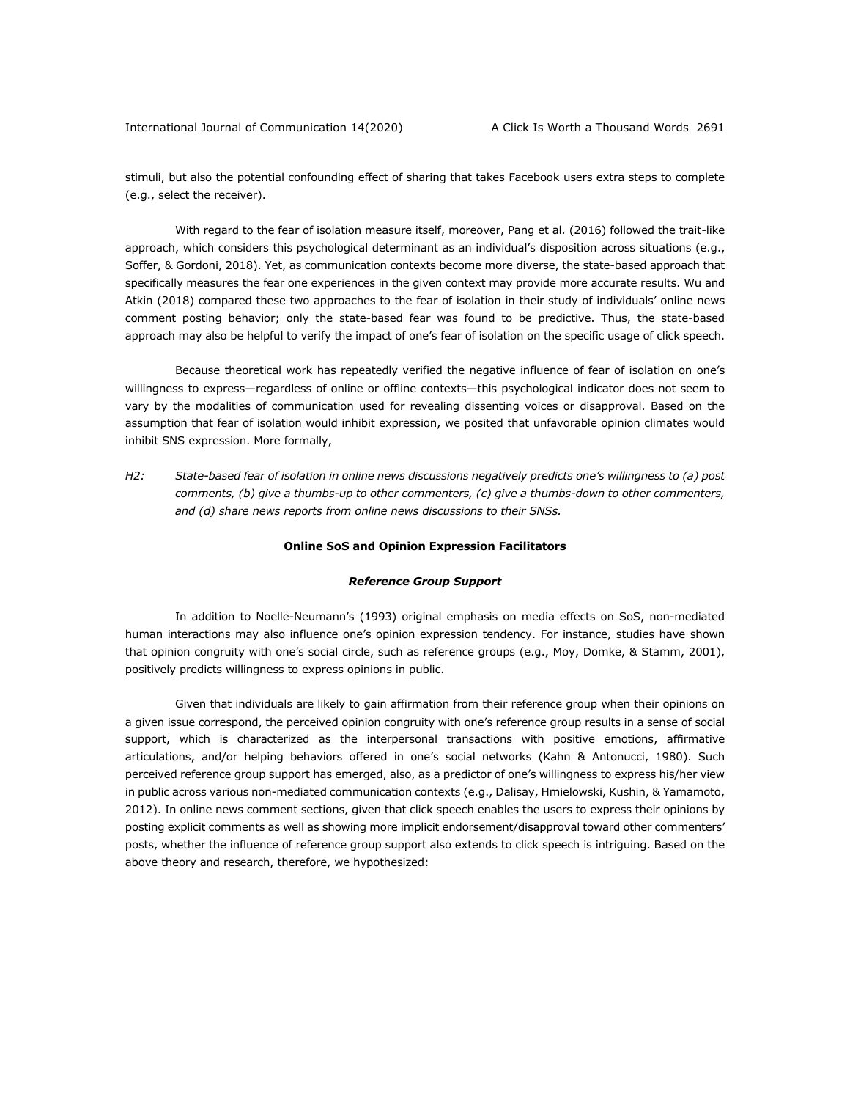stimuli, but also the potential confounding effect of sharing that takes Facebook users extra steps to complete (e.g., select the receiver).

With regard to the fear of isolation measure itself, moreover, Pang et al. (2016) followed the trait-like approach, which considers this psychological determinant as an individual's disposition across situations (e.g., Soffer, & Gordoni, 2018). Yet, as communication contexts become more diverse, the state-based approach that specifically measures the fear one experiences in the given context may provide more accurate results. Wu and Atkin (2018) compared these two approaches to the fear of isolation in their study of individuals' online news comment posting behavior; only the state-based fear was found to be predictive. Thus, the state-based approach may also be helpful to verify the impact of one's fear of isolation on the specific usage of click speech.

Because theoretical work has repeatedly verified the negative influence of fear of isolation on one's willingness to express—regardless of online or offline contexts—this psychological indicator does not seem to vary by the modalities of communication used for revealing dissenting voices or disapproval. Based on the assumption that fear of isolation would inhibit expression, we posited that unfavorable opinion climates would inhibit SNS expression. More formally,

*H2: State-based fear of isolation in online news discussions negatively predicts one's willingness to (a) post comments, (b) give a thumbs-up to other commenters, (c) give a thumbs-down to other commenters, and (d) share news reports from online news discussions to their SNSs.*

#### **Online SoS and Opinion Expression Facilitators**

#### *Reference Group Support*

In addition to Noelle-Neumann's (1993) original emphasis on media effects on SoS, non-mediated human interactions may also influence one's opinion expression tendency. For instance, studies have shown that opinion congruity with one's social circle, such as reference groups (e.g., Moy, Domke, & Stamm, 2001), positively predicts willingness to express opinions in public.

Given that individuals are likely to gain affirmation from their reference group when their opinions on a given issue correspond, the perceived opinion congruity with one's reference group results in a sense of social support, which is characterized as the interpersonal transactions with positive emotions, affirmative articulations, and/or helping behaviors offered in one's social networks (Kahn & Antonucci, 1980). Such perceived reference group support has emerged, also, as a predictor of one's willingness to express his/her view in public across various non-mediated communication contexts (e.g., Dalisay, Hmielowski, Kushin, & Yamamoto, 2012). In online news comment sections, given that click speech enables the users to express their opinions by posting explicit comments as well as showing more implicit endorsement/disapproval toward other commenters' posts, whether the influence of reference group support also extends to click speech is intriguing. Based on the above theory and research, therefore, we hypothesized: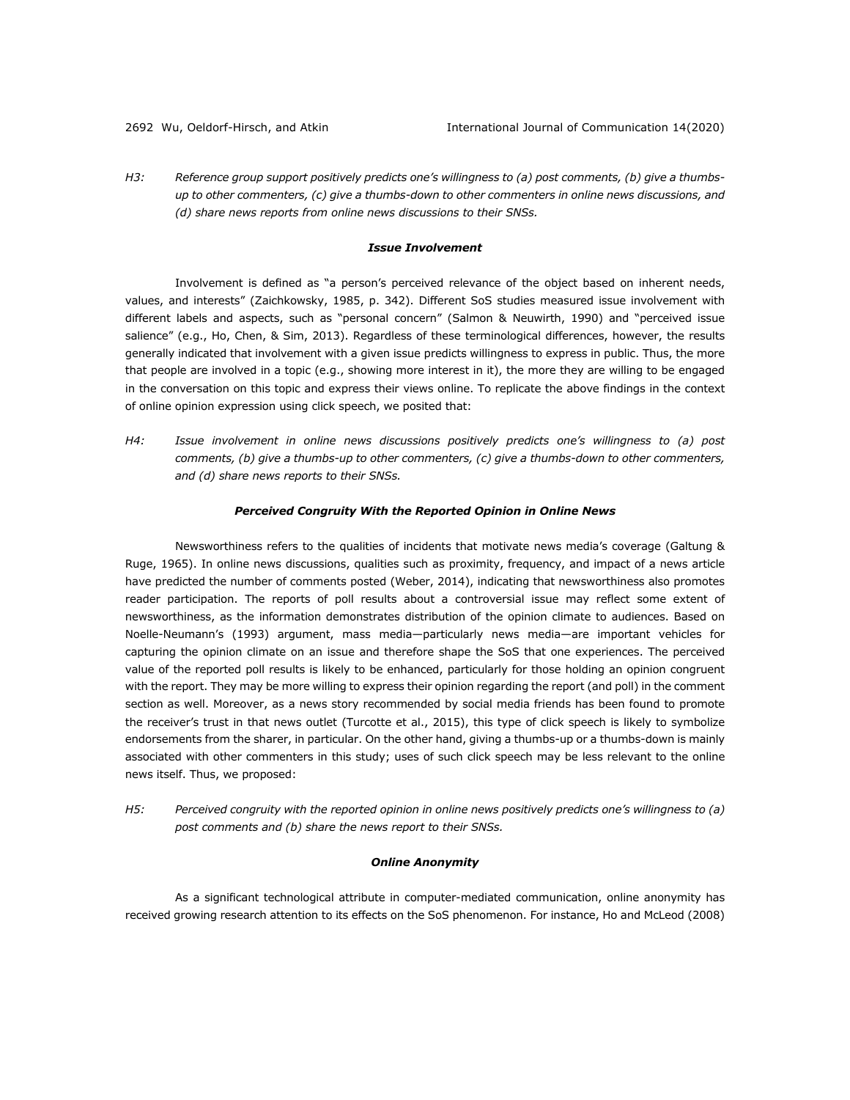*H3: Reference group support positively predicts one's willingness to (a) post comments, (b) give a thumbsup to other commenters, (c) give a thumbs-down to other commenters in online news discussions, and (d) share news reports from online news discussions to their SNSs.*

#### *Issue Involvement*

Involvement is defined as "a person's perceived relevance of the object based on inherent needs, values, and interests" (Zaichkowsky, 1985, p. 342). Different SoS studies measured issue involvement with different labels and aspects, such as "personal concern" (Salmon & Neuwirth, 1990) and "perceived issue salience" (e.g., Ho, Chen, & Sim, 2013). Regardless of these terminological differences, however, the results generally indicated that involvement with a given issue predicts willingness to express in public. Thus, the more that people are involved in a topic (e.g., showing more interest in it), the more they are willing to be engaged in the conversation on this topic and express their views online. To replicate the above findings in the context of online opinion expression using click speech, we posited that:

*H4: Issue involvement in online news discussions positively predicts one's willingness to (a) post comments, (b) give a thumbs-up to other commenters, (c) give a thumbs-down to other commenters, and (d) share news reports to their SNSs.*

#### *Perceived Congruity With the Reported Opinion in Online News*

Newsworthiness refers to the qualities of incidents that motivate news media's coverage (Galtung & Ruge, 1965). In online news discussions, qualities such as proximity, frequency, and impact of a news article have predicted the number of comments posted (Weber, 2014), indicating that newsworthiness also promotes reader participation. The reports of poll results about a controversial issue may reflect some extent of newsworthiness, as the information demonstrates distribution of the opinion climate to audiences. Based on Noelle-Neumann's (1993) argument, mass media—particularly news media—are important vehicles for capturing the opinion climate on an issue and therefore shape the SoS that one experiences. The perceived value of the reported poll results is likely to be enhanced, particularly for those holding an opinion congruent with the report. They may be more willing to express their opinion regarding the report (and poll) in the comment section as well. Moreover, as a news story recommended by social media friends has been found to promote the receiver's trust in that news outlet (Turcotte et al., 2015), this type of click speech is likely to symbolize endorsements from the sharer, in particular. On the other hand, giving a thumbs-up or a thumbs-down is mainly associated with other commenters in this study; uses of such click speech may be less relevant to the online news itself. Thus, we proposed:

*H5: Perceived congruity with the reported opinion in online news positively predicts one's willingness to (a) post comments and (b) share the news report to their SNSs.*

## *Online Anonymity*

As a significant technological attribute in computer-mediated communication, online anonymity has received growing research attention to its effects on the SoS phenomenon. For instance, Ho and McLeod (2008)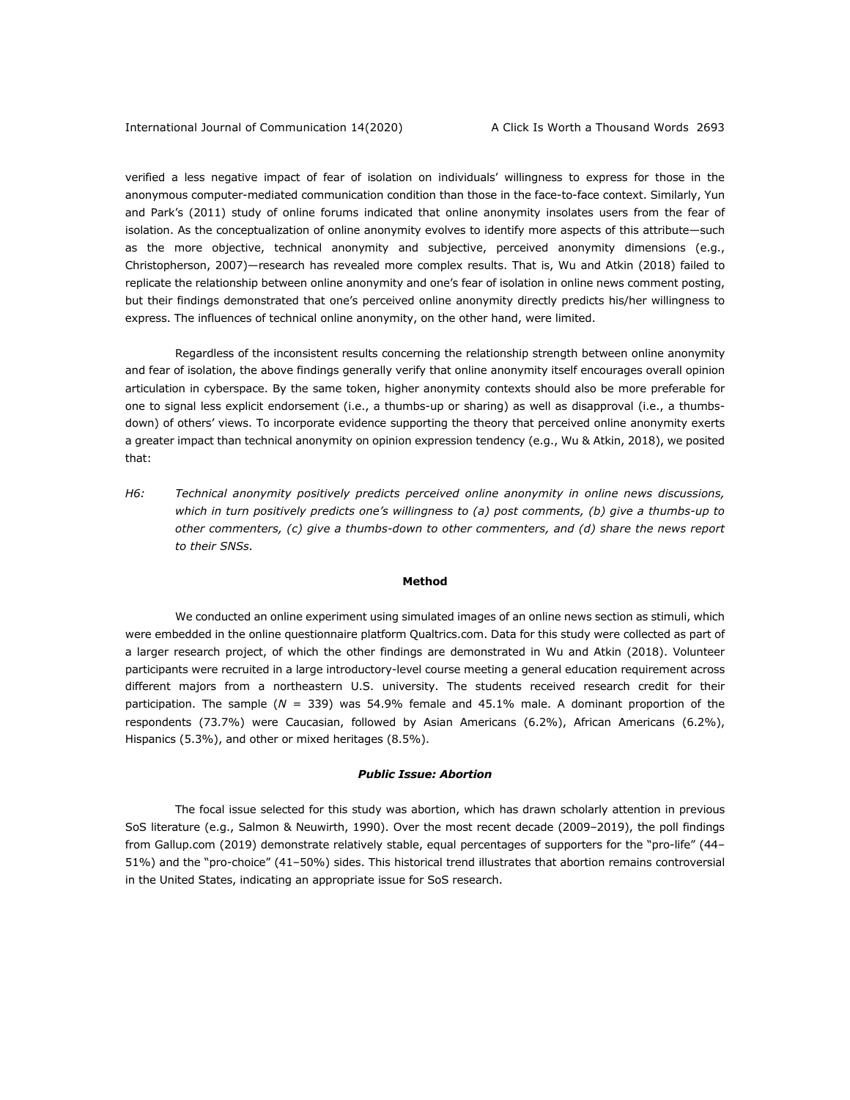verified a less negative impact of fear of isolation on individuals' willingness to express for those in the anonymous computer-mediated communication condition than those in the face-to-face context. Similarly, Yun and Park's (2011) study of online forums indicated that online anonymity insolates users from the fear of isolation. As the conceptualization of online anonymity evolves to identify more aspects of this attribute—such as the more objective, technical anonymity and subjective, perceived anonymity dimensions (e.g., Christopherson, 2007)—research has revealed more complex results. That is, Wu and Atkin (2018) failed to replicate the relationship between online anonymity and one's fear of isolation in online news comment posting, but their findings demonstrated that one's perceived online anonymity directly predicts his/her willingness to express. The influences of technical online anonymity, on the other hand, were limited.

Regardless of the inconsistent results concerning the relationship strength between online anonymity and fear of isolation, the above findings generally verify that online anonymity itself encourages overall opinion articulation in cyberspace. By the same token, higher anonymity contexts should also be more preferable for one to signal less explicit endorsement (i.e., a thumbs-up or sharing) as well as disapproval (i.e., a thumbsdown) of others' views. To incorporate evidence supporting the theory that perceived online anonymity exerts a greater impact than technical anonymity on opinion expression tendency (e.g., Wu & Atkin, 2018), we posited that:

*H6: Technical anonymity positively predicts perceived online anonymity in online news discussions, which in turn positively predicts one's willingness to (a) post comments, (b) give a thumbs-up to other commenters, (c) give a thumbs-down to other commenters, and (d) share the news report to their SNSs.*

#### **Method**

We conducted an online experiment using simulated images of an online news section as stimuli, which were embedded in the online questionnaire platform Qualtrics.com. Data for this study were collected as part of a larger research project, of which the other findings are demonstrated in Wu and Atkin (2018). Volunteer participants were recruited in a large introductory-level course meeting a general education requirement across different majors from a northeastern U.S. university. The students received research credit for their participation. The sample (*N* = 339) was 54.9% female and 45.1% male. A dominant proportion of the respondents (73.7%) were Caucasian, followed by Asian Americans (6.2%), African Americans (6.2%), Hispanics (5.3%), and other or mixed heritages (8.5%).

#### *Public Issue: Abortion*

The focal issue selected for this study was abortion, which has drawn scholarly attention in previous SoS literature (e.g., Salmon & Neuwirth, 1990). Over the most recent decade (2009–2019), the poll findings from Gallup.com (2019) demonstrate relatively stable, equal percentages of supporters for the "pro-life" (44– 51%) and the "pro-choice" (41–50%) sides. This historical trend illustrates that abortion remains controversial in the United States, indicating an appropriate issue for SoS research.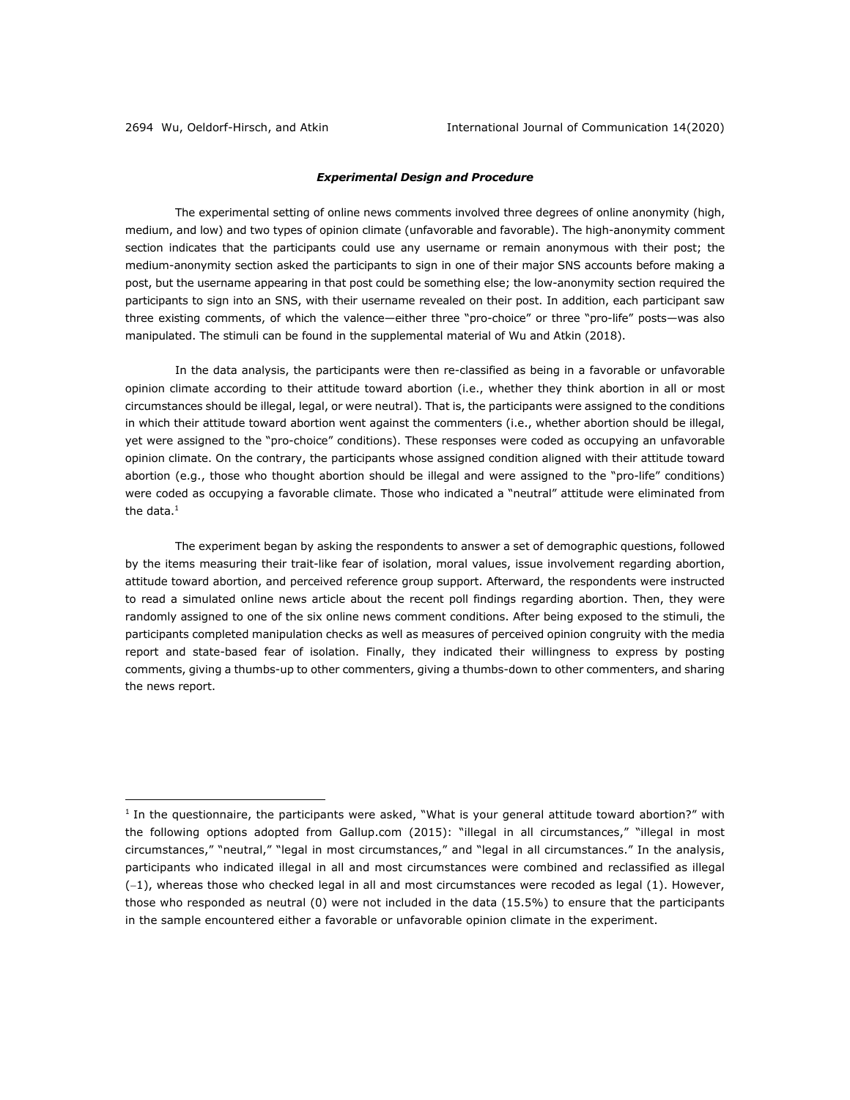## *Experimental Design and Procedure*

The experimental setting of online news comments involved three degrees of online anonymity (high, medium, and low) and two types of opinion climate (unfavorable and favorable). The high-anonymity comment section indicates that the participants could use any username or remain anonymous with their post; the medium-anonymity section asked the participants to sign in one of their major SNS accounts before making a post, but the username appearing in that post could be something else; the low-anonymity section required the participants to sign into an SNS, with their username revealed on their post. In addition, each participant saw three existing comments, of which the valence—either three "pro-choice" or three "pro-life" posts—was also manipulated. The stimuli can be found in the supplemental material of Wu and Atkin (2018).

In the data analysis, the participants were then re-classified as being in a favorable or unfavorable opinion climate according to their attitude toward abortion (i.e., whether they think abortion in all or most circumstances should be illegal, legal, or were neutral). That is, the participants were assigned to the conditions in which their attitude toward abortion went against the commenters (i.e., whether abortion should be illegal, yet were assigned to the "pro-choice" conditions). These responses were coded as occupying an unfavorable opinion climate. On the contrary, the participants whose assigned condition aligned with their attitude toward abortion (e.g., those who thought abortion should be illegal and were assigned to the "pro-life" conditions) were coded as occupying a favorable climate. Those who indicated a "neutral" attitude were eliminated from the data.<sup>1</sup>

The experiment began by asking the respondents to answer a set of demographic questions, followed by the items measuring their trait-like fear of isolation, moral values, issue involvement regarding abortion, attitude toward abortion, and perceived reference group support. Afterward, the respondents were instructed to read a simulated online news article about the recent poll findings regarding abortion. Then, they were randomly assigned to one of the six online news comment conditions. After being exposed to the stimuli, the participants completed manipulation checks as well as measures of perceived opinion congruity with the media report and state-based fear of isolation. Finally, they indicated their willingness to express by posting comments, giving a thumbs-up to other commenters, giving a thumbs-down to other commenters, and sharing the news report.

<sup>&</sup>lt;sup>1</sup> In the questionnaire, the participants were asked, "What is your general attitude toward abortion?" with the following options adopted from Gallup.com (2015): "illegal in all circumstances," "illegal in most circumstances," "neutral," "legal in most circumstances," and "legal in all circumstances." In the analysis, participants who indicated illegal in all and most circumstances were combined and reclassified as illegal (-1), whereas those who checked legal in all and most circumstances were recoded as legal (1). However, those who responded as neutral  $(0)$  were not included in the data  $(15.5%)$  to ensure that the participants in the sample encountered either a favorable or unfavorable opinion climate in the experiment.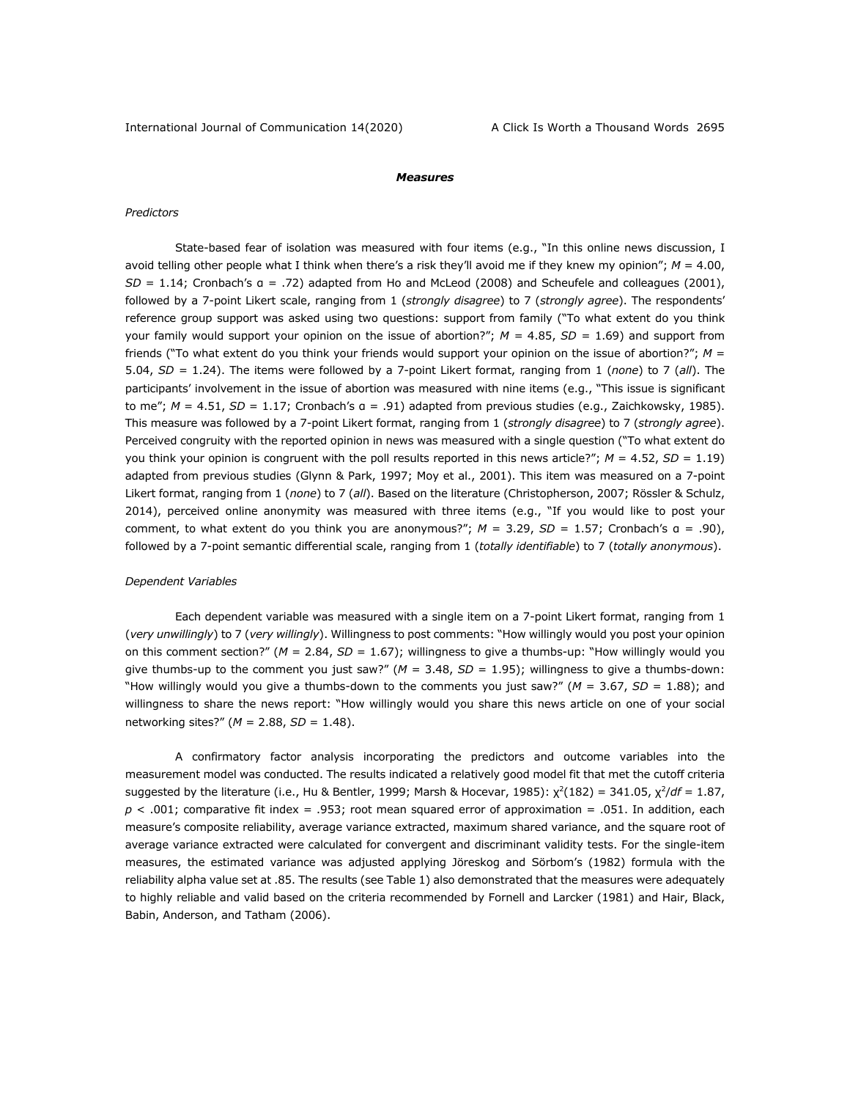#### *Measures*

## *Predictors*

State-based fear of isolation was measured with four items (e.g., "In this online news discussion, I avoid telling other people what I think when there's a risk they'll avoid me if they knew my opinion"; *M* = 4.00, *SD* = 1.14; Cronbach's α = .72) adapted from Ho and McLeod (2008) and Scheufele and colleagues (2001), followed by a 7-point Likert scale, ranging from 1 (*strongly disagree*) to 7 (*strongly agree*). The respondents' reference group support was asked using two questions: support from family ("To what extent do you think your family would support your opinion on the issue of abortion?"; *M =* 4.85, *SD =* 1.69) and support from friends ("To what extent do you think your friends would support your opinion on the issue of abortion?"; *M =*  5.04, *SD =* 1.24). The items were followed by a 7-point Likert format, ranging from 1 (*none*) to 7 (*all*). The participants' involvement in the issue of abortion was measured with nine items (e.g., "This issue is significant to me"; *M* = 4.51, *SD* = 1.17; Cronbach's α = .91) adapted from previous studies (e.g., Zaichkowsky, 1985). This measure was followed by a 7-point Likert format, ranging from 1 (*strongly disagree*) to 7 (*strongly agree*). Perceived congruity with the reported opinion in news was measured with a single question ("To what extent do you think your opinion is congruent with the poll results reported in this news article?"; *M* = 4.52, *SD* = 1.19) adapted from previous studies (Glynn & Park, 1997; Moy et al., 2001). This item was measured on a 7-point Likert format, ranging from 1 (*none*) to 7 (*all*). Based on the literature (Christopherson, 2007; Rössler & Schulz, 2014), perceived online anonymity was measured with three items (e.g., "If you would like to post your comment, to what extent do you think you are anonymous?"; *M* = 3.29, *SD* = 1.57; Cronbach's α = .90), followed by a 7-point semantic differential scale, ranging from 1 (*totally identifiable*) to 7 (*totally anonymous*).

#### *Dependent Variables*

Each dependent variable was measured with a single item on a 7-point Likert format, ranging from 1 (*very unwillingly*) to 7 (*very willingly*). Willingness to post comments: "How willingly would you post your opinion on this comment section?" (*M* = 2.84, *SD* = 1.67); willingness to give a thumbs-up: "How willingly would you give thumbs-up to the comment you just saw?" ( $M = 3.48$ ,  $SD = 1.95$ ); willingness to give a thumbs-down: "How willingly would you give a thumbs-down to the comments you just saw?" ( $M = 3.67$ ,  $SD = 1.88$ ); and willingness to share the news report: "How willingly would you share this news article on one of your social networking sites?" (*M* = 2.88, *SD* = 1.48).

A confirmatory factor analysis incorporating the predictors and outcome variables into the measurement model was conducted. The results indicated a relatively good model fit that met the cutoff criteria suggested by the literature (i.e., Hu & Bentler, 1999; Marsh & Hocevar, 1985):  $\chi^2(182) = 341.05$ ,  $\chi^2/df = 1.87$ ,  $p < .001$ ; comparative fit index = .953; root mean squared error of approximation = .051. In addition, each measure's composite reliability, average variance extracted, maximum shared variance, and the square root of average variance extracted were calculated for convergent and discriminant validity tests. For the single-item measures, the estimated variance was adjusted applying Jöreskog and Sörbom's (1982) formula with the reliability alpha value set at .85. The results (see Table 1) also demonstrated that the measures were adequately to highly reliable and valid based on the criteria recommended by Fornell and Larcker (1981) and Hair, Black, Babin, Anderson, and Tatham (2006).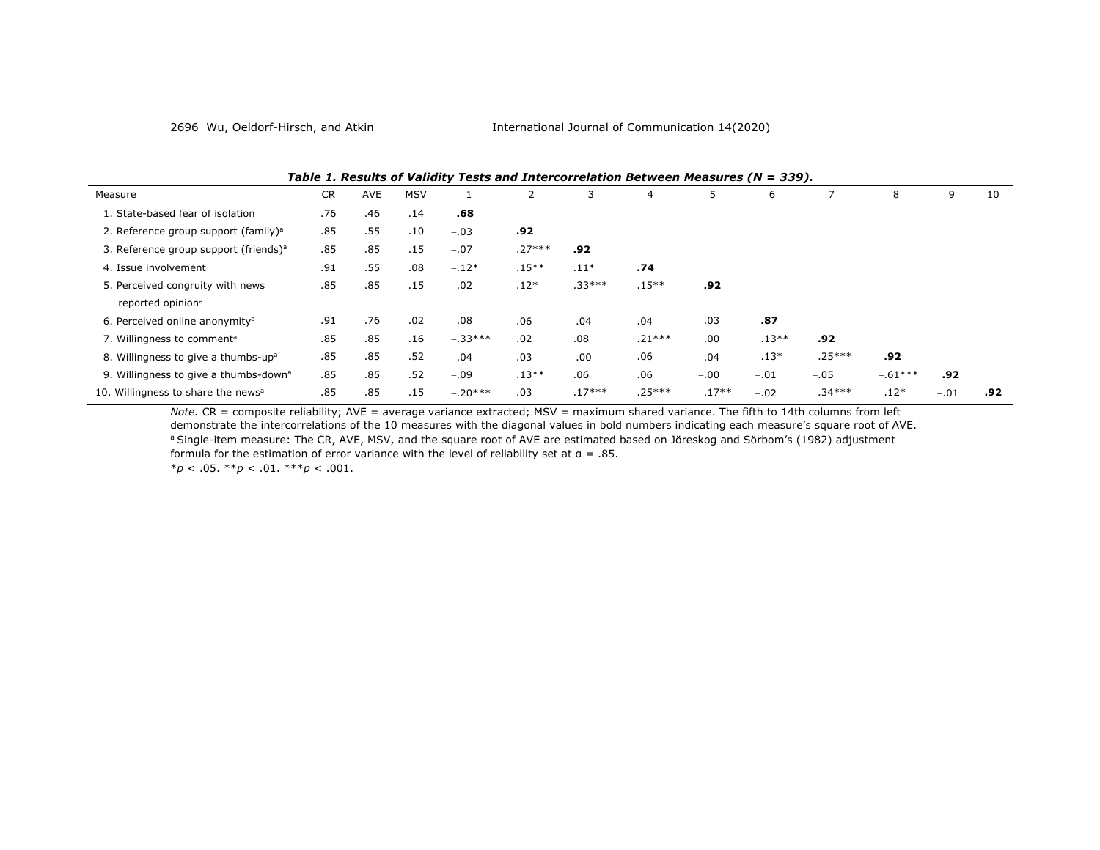| --- - -                                           |           |            |            |           |          |          |          |         |         |          |           |        |     |
|---------------------------------------------------|-----------|------------|------------|-----------|----------|----------|----------|---------|---------|----------|-----------|--------|-----|
| Measure                                           | <b>CR</b> | <b>AVE</b> | <b>MSV</b> |           |          | 3        | 4        | 5       | 6       |          | 8         | 9      | 10  |
| 1. State-based fear of isolation                  | .76       | .46        | .14        | .68       |          |          |          |         |         |          |           |        |     |
| 2. Reference group support (family) <sup>a</sup>  | .85       | .55        | .10        | $-.03$    | .92      |          |          |         |         |          |           |        |     |
| 3. Reference group support (friends) <sup>a</sup> | .85       | .85        | .15        | $-.07$    | $.27***$ | .92      |          |         |         |          |           |        |     |
| 4. Issue involvement                              | .91       | .55        | .08        | $-.12*$   | $.15**$  | $.11*$   | .74      |         |         |          |           |        |     |
| 5. Perceived congruity with news                  | .85       | .85        | .15        | .02       | $.12*$   | $.33***$ | $.15***$ | .92     |         |          |           |        |     |
| reported opinion <sup>a</sup>                     |           |            |            |           |          |          |          |         |         |          |           |        |     |
| 6. Perceived online anonymity <sup>a</sup>        | .91       | .76        | .02        | .08       | $-.06$   | $-.04$   | $-.04$   | .03     | .87     |          |           |        |     |
| 7. Willingness to comment <sup>a</sup>            | .85       | .85        | .16        | $-.33***$ | .02      | .08      | $.21***$ | .00     | $.13**$ | .92      |           |        |     |
| 8. Willingness to give a thumbs-up <sup>a</sup>   | .85       | .85        | .52        | $-.04$    | $-.03$   | $-.00$   | .06      | $-.04$  | $.13*$  | $.25***$ | .92       |        |     |
| 9. Willingness to give a thumbs-down <sup>a</sup> | .85       | .85        | .52        | $-.09$    | $.13**$  | .06      | .06      | $-.00$  | $-.01$  | $-.05$   | $-.61***$ | .92    |     |
| 10. Willingness to share the news <sup>a</sup>    | .85       | .85        | .15        | $-.20***$ | .03      | $.17***$ | $.25***$ | $.17**$ | $-.02$  | $.34***$ | $.12*$    | $-.01$ | .92 |

*Table 1. Results of Validity Tests and Intercorrelation Between Measures (N = 339).*

*Note.* CR = composite reliability; AVE = average variance extracted; MSV = maximum shared variance. The fifth to 14th columns from left demonstrate the intercorrelations of the 10 measures with the diagonal values in bold numbers indicating each measure's square root of AVE. a Single-item measure: The CR, AVE, MSV, and the square root of AVE are estimated based on Jöreskog and Sörbom's (1982) adjustment formula for the estimation of error variance with the level of reliability set at α = .85.

\**p* < .05. \*\**p* < .01. \*\*\**p* < .001.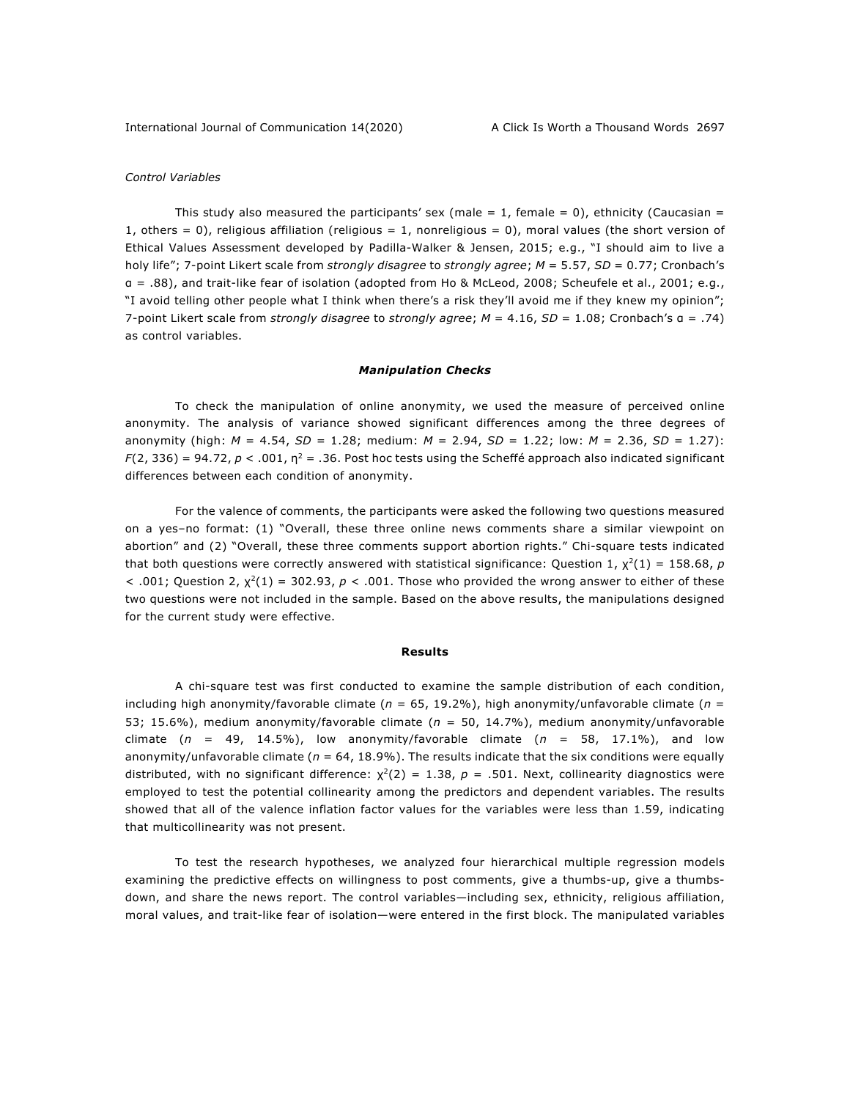## *Control Variables*

This study also measured the participants' sex (male = 1, female = 0), ethnicity (Caucasian = 1, others = 0), religious affiliation (religious = 1, nonreligious = 0), moral values (the short version of Ethical Values Assessment developed by Padilla-Walker & Jensen, 2015; e.g., "I should aim to live a holy life"; 7-point Likert scale from *strongly disagree* to *strongly agree*; *M* = 5.57, *SD* = 0.77; Cronbach's α = .88), and trait-like fear of isolation (adopted from Ho & McLeod, 2008; Scheufele et al., 2001; e.g., "I avoid telling other people what I think when there's a risk they'll avoid me if they knew my opinion"; 7-point Likert scale from *strongly disagree* to *strongly agree*; *M* = 4.16, *SD* = 1.08; Cronbach's α = .74) as control variables.

#### *Manipulation Checks*

To check the manipulation of online anonymity, we used the measure of perceived online anonymity. The analysis of variance showed significant differences among the three degrees of anonymity (high: *M* = 4.54, *SD* = 1.28; medium: *M* = 2.94, *SD* = 1.22; low: *M* = 2.36, *SD* = 1.27): *F*(2, 336) = 94.72,  $p < .001$ ,  $p^2 = .36$ . Post hoc tests using the Scheffé approach also indicated significant differences between each condition of anonymity.

For the valence of comments, the participants were asked the following two questions measured on a yes–no format: (1) "Overall, these three online news comments share a similar viewpoint on abortion" and (2) "Overall, these three comments support abortion rights." Chi-square tests indicated that both questions were correctly answered with statistical significance: Question 1,  $\chi^2(1) = 158.68$ , *p*  $<$  .001; Question 2,  $\chi^2(1) = 302.93$ ,  $p < .001$ . Those who provided the wrong answer to either of these two questions were not included in the sample. Based on the above results, the manipulations designed for the current study were effective.

#### **Results**

A chi-square test was first conducted to examine the sample distribution of each condition, including high anonymity/favorable climate (*n* = 65, 19.2%), high anonymity/unfavorable climate (*n* = 53; 15.6%), medium anonymity/favorable climate (*n* = 50, 14.7%), medium anonymity/unfavorable climate (*n* = 49, 14.5%), low anonymity/favorable climate (*n* = 58, 17.1%), and low anonymity/unfavorable climate ( $n = 64$ , 18.9%). The results indicate that the six conditions were equally distributed, with no significant difference:  $\chi^2(2) = 1.38$ ,  $p = .501$ . Next, collinearity diagnostics were employed to test the potential collinearity among the predictors and dependent variables. The results showed that all of the valence inflation factor values for the variables were less than 1.59, indicating that multicollinearity was not present.

To test the research hypotheses, we analyzed four hierarchical multiple regression models examining the predictive effects on willingness to post comments, give a thumbs-up, give a thumbsdown, and share the news report. The control variables—including sex, ethnicity, religious affiliation, moral values, and trait-like fear of isolation—were entered in the first block. The manipulated variables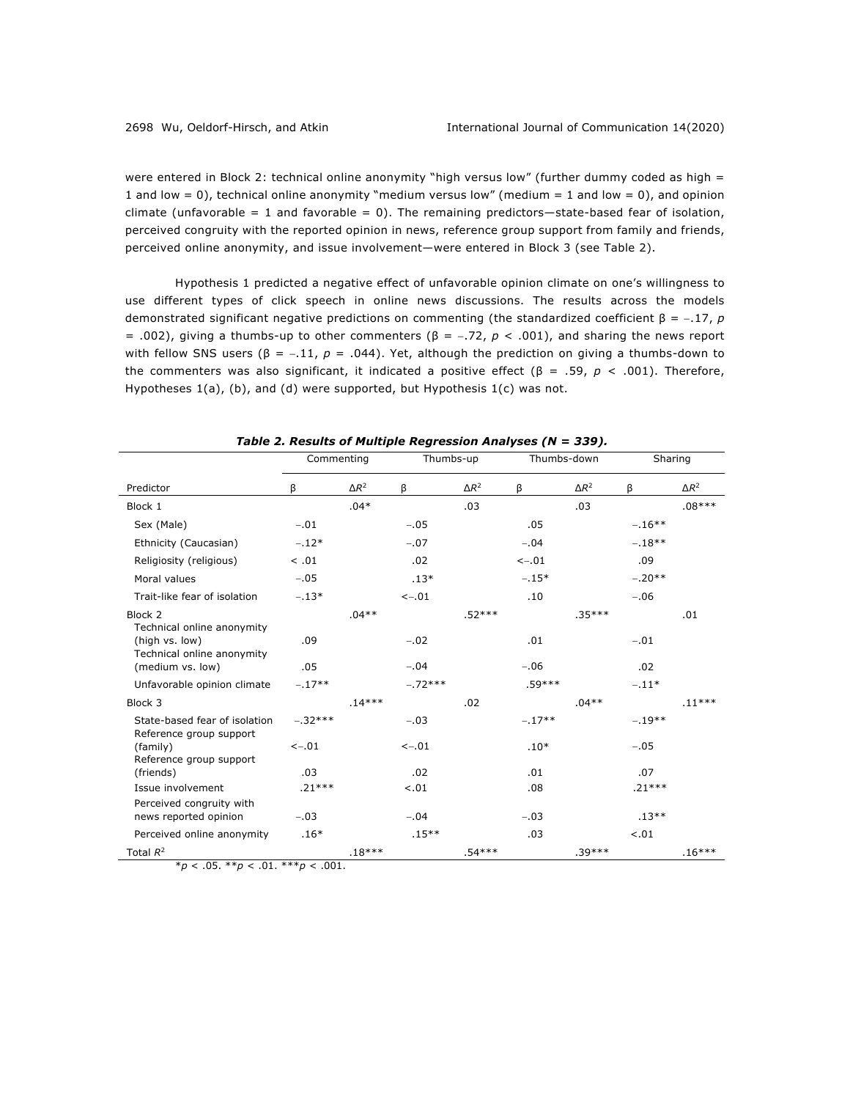were entered in Block 2: technical online anonymity "high versus low" (further dummy coded as high = 1 and low = 0), technical online anonymity "medium versus low" (medium = 1 and low = 0), and opinion climate (unfavorable = 1 and favorable = 0). The remaining predictors—state-based fear of isolation, perceived congruity with the reported opinion in news, reference group support from family and friends, perceived online anonymity, and issue involvement—were entered in Block 3 (see Table 2).

Hypothesis 1 predicted a negative effect of unfavorable opinion climate on one's willingness to use different types of click speech in online news discussions. The results across the models demonstrated significant negative predictions on commenting (the standardized coefficient β = -.17, *p*  = .002), giving a thumbs-up to other commenters (β = -.72, *p* < .001), and sharing the news report with fellow SNS users ( $\beta$  = -.11,  $p$  = .044). Yet, although the prediction on giving a thumbs-down to the commenters was also significant, it indicated a positive effect (β = .59, *p* < .001). Therefore, Hypotheses 1(a), (b), and (d) were supported, but Hypothesis 1(c) was not.

|                                                                            | Commenting |              | Thumbs-up |              | Thumbs-down |              | Sharing   |              |
|----------------------------------------------------------------------------|------------|--------------|-----------|--------------|-------------|--------------|-----------|--------------|
| Predictor                                                                  | ß          | $\Delta R^2$ | β         | $\Delta R^2$ | β           | $\Delta R^2$ | β         | $\Delta R^2$ |
| Block 1                                                                    |            | $.04*$       |           | .03          |             | .03          |           | $.08***$     |
| Sex (Male)                                                                 | $-.01$     |              | $-.05$    |              | .05         |              | $-.16***$ |              |
| Ethnicity (Caucasian)                                                      | $-.12*$    |              | $-.07$    |              | $-.04$      |              | $-.18**$  |              |
| Religiosity (religious)                                                    | < .01      |              | .02       |              | $< -.01$    |              | .09       |              |
| Moral values                                                               | $-.05$     |              | $.13*$    |              | $-.15*$     |              | $-.20**$  |              |
| Trait-like fear of isolation                                               | $-.13*$    |              | $< -0.01$ |              | .10         |              | $-.06$    |              |
| Block <sub>2</sub>                                                         |            | $.04**$      |           | $.52***$     |             | $.35***$     |           | .01          |
| Technical online anonymity<br>(high vs. low)<br>Technical online anonymity | .09        |              | $-.02$    |              | .01         |              | $-.01$    |              |
| (medium vs. low)                                                           | .05        |              | $-.04$    |              | $-.06$      |              | .02       |              |
| Unfavorable opinion climate                                                | $-.17**$   |              | $-.72***$ |              | $.59***$    |              | $-.11*$   |              |
| Block 3                                                                    |            | $.14***$     |           | .02          |             | $.04**$      |           | $.11***$     |
| State-based fear of isolation<br>Reference group support                   | $-.32***$  |              | $-.03$    |              | $-.17**$    |              | $-.19**$  |              |
| (family)<br>Reference group support                                        | $< -.01$   |              | $< -.01$  |              | $.10*$      |              | $-.05$    |              |
| (friends)                                                                  | .03        |              | .02       |              | .01         |              | .07       |              |
| Issue involvement                                                          | $.21***$   |              | $-.01$    |              | .08         |              | $.21***$  |              |
| Perceived congruity with<br>news reported opinion                          | $-.03$     |              | $-.04$    |              | $-.03$      |              | $.13***$  |              |
| Perceived online anonymity                                                 | $.16*$     |              | $.15***$  |              | .03         |              | $-.01$    |              |
| Total $R^2$                                                                |            | $.18***$     |           | $.54***$     |             | $.39***$     |           | $.16***$     |

*Table 2. Results of Multiple Regression Analyses (N = 339).*

 $**p* < .05. ***p* < .01. ****p* < .001.$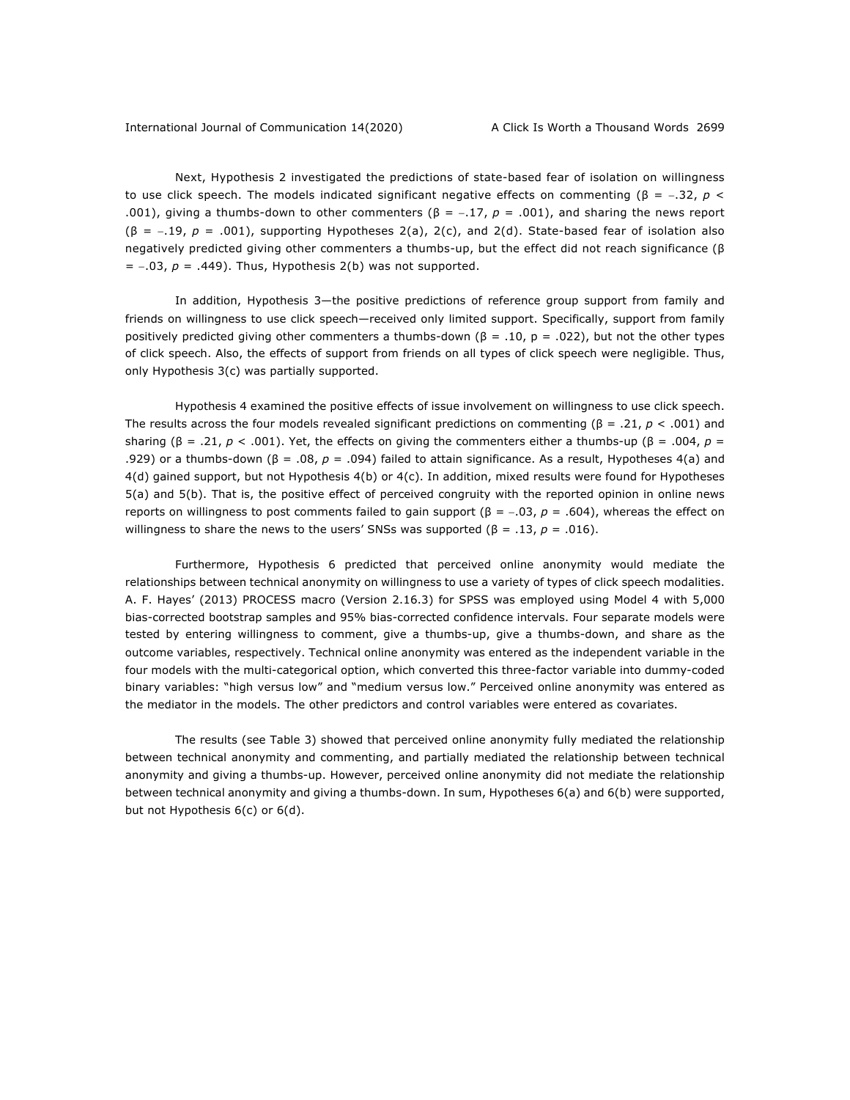Next, Hypothesis 2 investigated the predictions of state-based fear of isolation on willingness to use click speech. The models indicated significant negative effects on commenting (β =  $-.32, p <$ .001), giving a thumbs-down to other commenters ( $\beta$  = -.17,  $p$  = .001), and sharing the news report (β = -.19, *p* = .001), supporting Hypotheses 2(a), 2(c), and 2(d). State-based fear of isolation also negatively predicted giving other commenters a thumbs-up, but the effect did not reach significance (β  $= -.03$ ,  $p = .449$ ). Thus, Hypothesis 2(b) was not supported.

In addition, Hypothesis 3—the positive predictions of reference group support from family and friends on willingness to use click speech—received only limited support. Specifically, support from family positively predicted giving other commenters a thumbs-down (β = .10, p = .022), but not the other types of click speech. Also, the effects of support from friends on all types of click speech were negligible. Thus, only Hypothesis 3(c) was partially supported.

Hypothesis 4 examined the positive effects of issue involvement on willingness to use click speech. The results across the four models revealed significant predictions on commenting (β = .21, *p* < .001) and sharing (β = .21, *p* < .001). Yet, the effects on giving the commenters either a thumbs-up (β = .004, *p* = .929) or a thumbs-down (β = .08, *p* = .094) failed to attain significance. As a result, Hypotheses 4(a) and 4(d) gained support, but not Hypothesis 4(b) or 4(c). In addition, mixed results were found for Hypotheses 5(a) and 5(b). That is, the positive effect of perceived congruity with the reported opinion in online news reports on willingness to post comments failed to gain support (β = -.03,  $p = .604$ ), whereas the effect on willingness to share the news to the users' SNSs was supported  $(\beta = .13, p = .016)$ .

Furthermore, Hypothesis 6 predicted that perceived online anonymity would mediate the relationships between technical anonymity on willingness to use a variety of types of click speech modalities. A. F. Hayes' (2013) PROCESS macro (Version 2.16.3) for SPSS was employed using Model 4 with 5,000 bias-corrected bootstrap samples and 95% bias-corrected confidence intervals. Four separate models were tested by entering willingness to comment, give a thumbs-up, give a thumbs-down, and share as the outcome variables, respectively. Technical online anonymity was entered as the independent variable in the four models with the multi-categorical option, which converted this three-factor variable into dummy-coded binary variables: "high versus low" and "medium versus low." Perceived online anonymity was entered as the mediator in the models. The other predictors and control variables were entered as covariates.

The results (see Table 3) showed that perceived online anonymity fully mediated the relationship between technical anonymity and commenting, and partially mediated the relationship between technical anonymity and giving a thumbs-up. However, perceived online anonymity did not mediate the relationship between technical anonymity and giving a thumbs-down. In sum, Hypotheses 6(a) and 6(b) were supported, but not Hypothesis 6(c) or 6(d).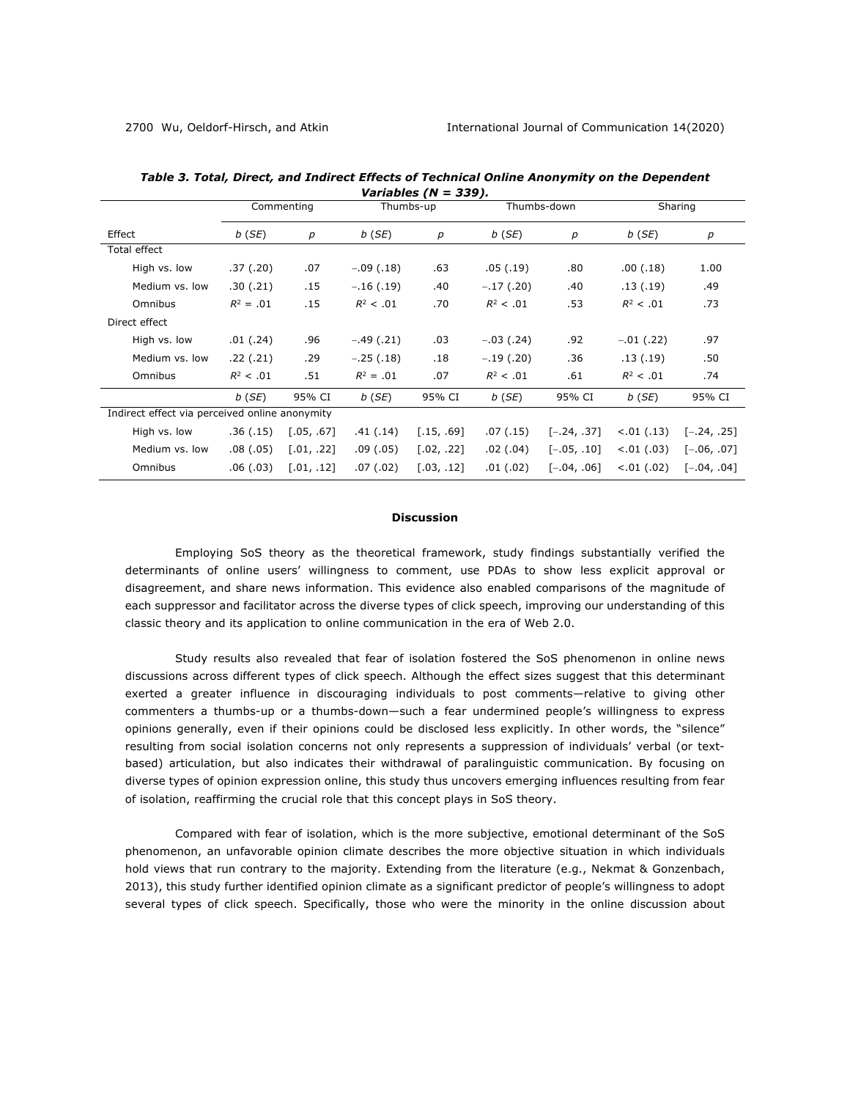| $variance$ $(1 - 337)$                         |                              |            |             |                  |               |               |              |               |  |  |  |  |
|------------------------------------------------|------------------------------|------------|-------------|------------------|---------------|---------------|--------------|---------------|--|--|--|--|
|                                                | Commenting                   |            |             | Thumbs-up        |               | Thumbs-down   | Sharing      |               |  |  |  |  |
| Effect                                         | $b$ (SE)<br>$\boldsymbol{p}$ |            | $b$ (SE)    | $\boldsymbol{p}$ | $b$ (SE)      | р             | $b$ (SE)     | р             |  |  |  |  |
| Total effect                                   |                              |            |             |                  |               |               |              |               |  |  |  |  |
| High vs. low                                   | .37(.20)                     | .07        | $-.09(.18)$ | .63              | .05(.19)      | .80           | .00(0.18)    | 1.00          |  |  |  |  |
| Medium vs. low                                 | .30(.21)                     | .15        | $-.16(.19)$ | .40              | $-.17(.20)$   | .40           | .13(.19)     | .49           |  |  |  |  |
| Omnibus                                        | $R^2 = .01$                  | .15        | $R^2$ < .01 | .70              | $R^2$ < .01   | .53           | $R^2$ < .01  | .73           |  |  |  |  |
| Direct effect                                  |                              |            |             |                  |               |               |              |               |  |  |  |  |
| High vs. low                                   | .01( .24)                    | .96        | $-.49(.21)$ | .03              | $-.03$ (.24)  | .92           | $-.01$ (.22) | .97           |  |  |  |  |
| Medium vs. low                                 | .22(.21)                     | .29        | $-.25(.18)$ | .18              | $-.19(.20)$   | .36           | .13(.19)     | .50           |  |  |  |  |
| Omnibus                                        | $R^2$ < .01                  | .51        | $R^2 = .01$ | .07              | $R^2$ < .01   | .61           | $R^2$ < .01  | .74           |  |  |  |  |
|                                                | $b$ (SE)                     | 95% CI     | $b$ (SE)    | 95% CI           | $b$ (SE)      | 95% CI        | $b$ (SE)     | 95% CI        |  |  |  |  |
| Indirect effect via perceived online anonymity |                              |            |             |                  |               |               |              |               |  |  |  |  |
| High vs. low                                   | .36(.15)                     | [.05, .67] | .41( .14)   | [.15, .69]       | .07(0.15)     | $[-.24, .37]$ | < .01 (.13)  | $[-.24, .25]$ |  |  |  |  |
| Medium vs. low                                 | .08(0.05)                    | [.01, .22] | .09(0.05)   | [.02, .22]       | $.02$ $(.04)$ | $[-.05, .10]$ | < .01 (.03)  | $[-.06, .07]$ |  |  |  |  |
| Omnibus                                        | .06(.03)                     | [.01, .12] | .07(0.02)   | [.03, .12]       | .01(.02)      | $[-.04, .06]$ | < .01 (.02)  | $[-.04, .04]$ |  |  |  |  |

*Table 3. Total, Direct, and Indirect Effects of Technical Online Anonymity on the Dependent Variables (N = 339).*

#### **Discussion**

Employing SoS theory as the theoretical framework, study findings substantially verified the determinants of online users' willingness to comment, use PDAs to show less explicit approval or disagreement, and share news information. This evidence also enabled comparisons of the magnitude of each suppressor and facilitator across the diverse types of click speech, improving our understanding of this classic theory and its application to online communication in the era of Web 2.0.

Study results also revealed that fear of isolation fostered the SoS phenomenon in online news discussions across different types of click speech. Although the effect sizes suggest that this determinant exerted a greater influence in discouraging individuals to post comments—relative to giving other commenters a thumbs-up or a thumbs-down—such a fear undermined people's willingness to express opinions generally, even if their opinions could be disclosed less explicitly. In other words, the "silence" resulting from social isolation concerns not only represents a suppression of individuals' verbal (or textbased) articulation, but also indicates their withdrawal of paralinguistic communication. By focusing on diverse types of opinion expression online, this study thus uncovers emerging influences resulting from fear of isolation, reaffirming the crucial role that this concept plays in SoS theory.

Compared with fear of isolation, which is the more subjective, emotional determinant of the SoS phenomenon, an unfavorable opinion climate describes the more objective situation in which individuals hold views that run contrary to the majority. Extending from the literature (e.g., Nekmat & Gonzenbach, 2013), this study further identified opinion climate as a significant predictor of people's willingness to adopt several types of click speech. Specifically, those who were the minority in the online discussion about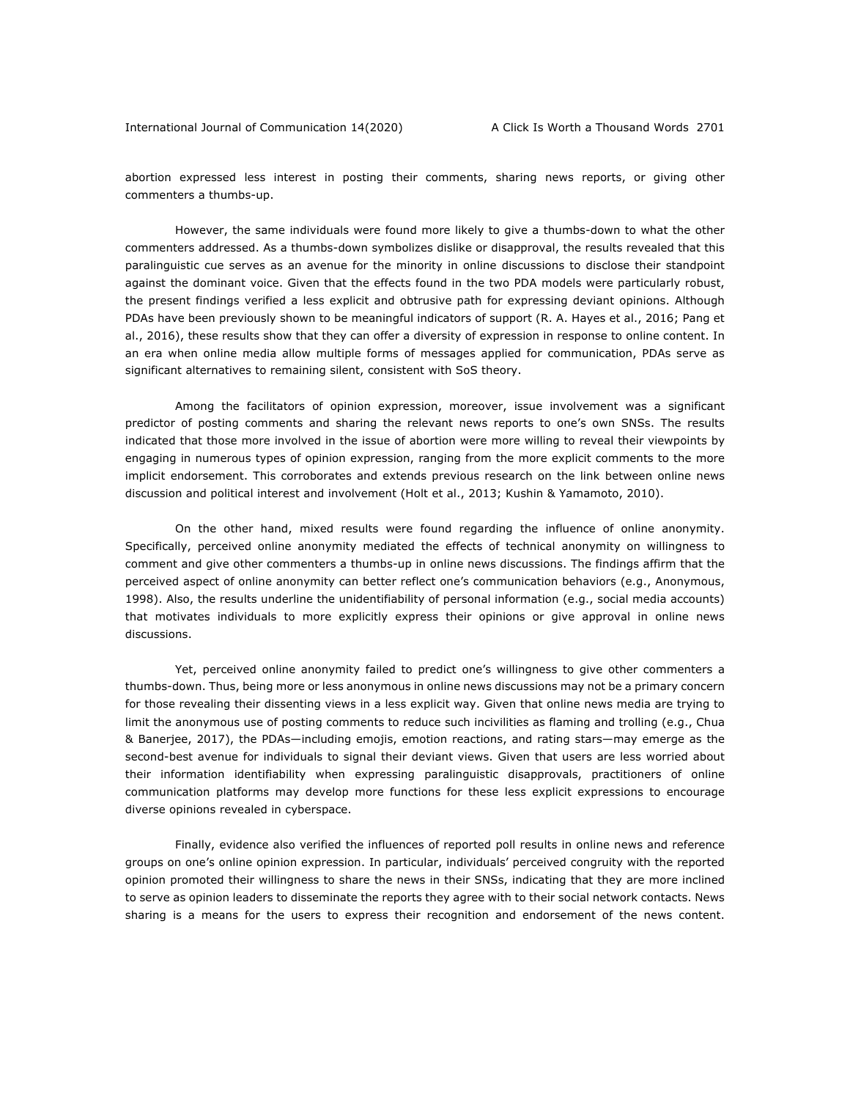abortion expressed less interest in posting their comments, sharing news reports, or giving other commenters a thumbs-up.

However, the same individuals were found more likely to give a thumbs-down to what the other commenters addressed. As a thumbs-down symbolizes dislike or disapproval, the results revealed that this paralinguistic cue serves as an avenue for the minority in online discussions to disclose their standpoint against the dominant voice. Given that the effects found in the two PDA models were particularly robust, the present findings verified a less explicit and obtrusive path for expressing deviant opinions. Although PDAs have been previously shown to be meaningful indicators of support (R. A. Hayes et al., 2016; Pang et al., 2016), these results show that they can offer a diversity of expression in response to online content. In an era when online media allow multiple forms of messages applied for communication, PDAs serve as significant alternatives to remaining silent, consistent with SoS theory.

Among the facilitators of opinion expression, moreover, issue involvement was a significant predictor of posting comments and sharing the relevant news reports to one's own SNSs. The results indicated that those more involved in the issue of abortion were more willing to reveal their viewpoints by engaging in numerous types of opinion expression, ranging from the more explicit comments to the more implicit endorsement. This corroborates and extends previous research on the link between online news discussion and political interest and involvement (Holt et al., 2013; Kushin & Yamamoto, 2010).

On the other hand, mixed results were found regarding the influence of online anonymity. Specifically, perceived online anonymity mediated the effects of technical anonymity on willingness to comment and give other commenters a thumbs-up in online news discussions. The findings affirm that the perceived aspect of online anonymity can better reflect one's communication behaviors (e.g., Anonymous, 1998). Also, the results underline the unidentifiability of personal information (e.g., social media accounts) that motivates individuals to more explicitly express their opinions or give approval in online news discussions.

Yet, perceived online anonymity failed to predict one's willingness to give other commenters a thumbs-down. Thus, being more or less anonymous in online news discussions may not be a primary concern for those revealing their dissenting views in a less explicit way. Given that online news media are trying to limit the anonymous use of posting comments to reduce such incivilities as flaming and trolling (e.g., Chua & Banerjee, 2017), the PDAs—including emojis, emotion reactions, and rating stars—may emerge as the second-best avenue for individuals to signal their deviant views. Given that users are less worried about their information identifiability when expressing paralinguistic disapprovals, practitioners of online communication platforms may develop more functions for these less explicit expressions to encourage diverse opinions revealed in cyberspace.

Finally, evidence also verified the influences of reported poll results in online news and reference groups on one's online opinion expression. In particular, individuals' perceived congruity with the reported opinion promoted their willingness to share the news in their SNSs, indicating that they are more inclined to serve as opinion leaders to disseminate the reports they agree with to their social network contacts. News sharing is a means for the users to express their recognition and endorsement of the news content.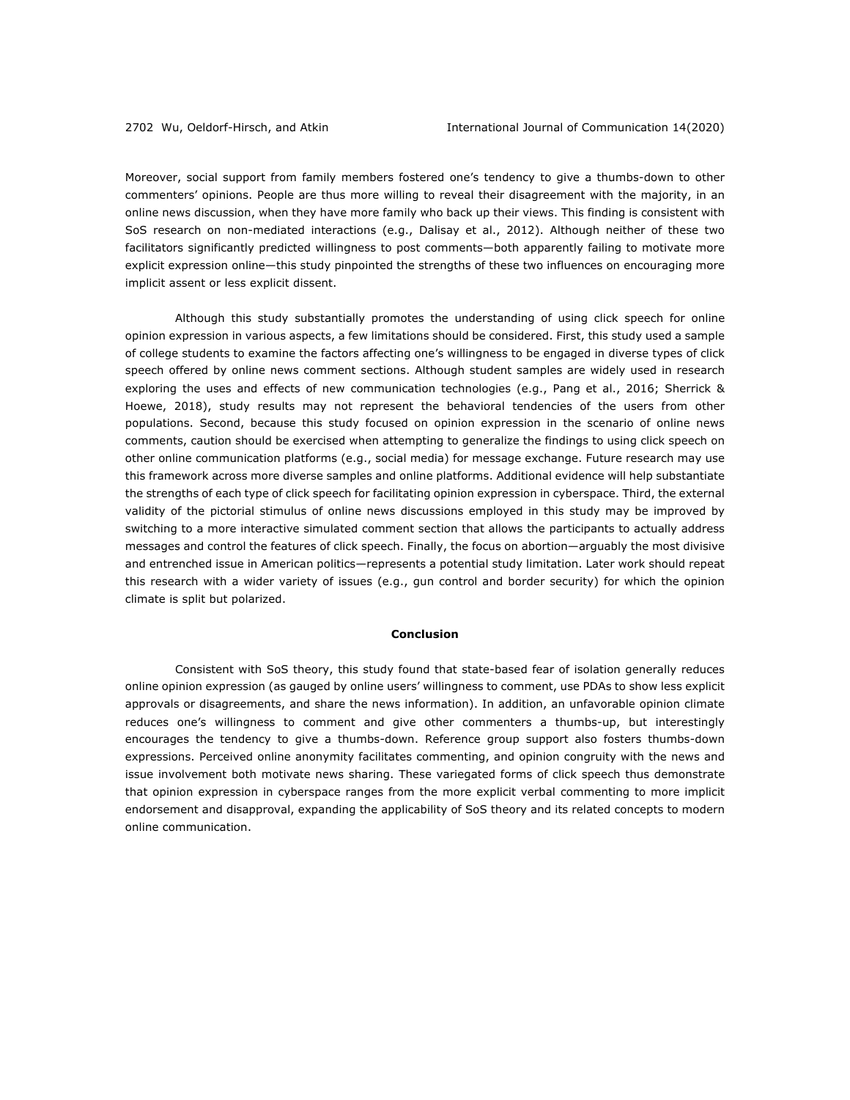Moreover, social support from family members fostered one's tendency to give a thumbs-down to other commenters' opinions. People are thus more willing to reveal their disagreement with the majority, in an online news discussion, when they have more family who back up their views. This finding is consistent with SoS research on non-mediated interactions (e.g., Dalisay et al., 2012). Although neither of these two facilitators significantly predicted willingness to post comments—both apparently failing to motivate more explicit expression online—this study pinpointed the strengths of these two influences on encouraging more implicit assent or less explicit dissent.

Although this study substantially promotes the understanding of using click speech for online opinion expression in various aspects, a few limitations should be considered. First, this study used a sample of college students to examine the factors affecting one's willingness to be engaged in diverse types of click speech offered by online news comment sections. Although student samples are widely used in research exploring the uses and effects of new communication technologies (e.g., Pang et al., 2016; Sherrick & Hoewe, 2018), study results may not represent the behavioral tendencies of the users from other populations. Second, because this study focused on opinion expression in the scenario of online news comments, caution should be exercised when attempting to generalize the findings to using click speech on other online communication platforms (e.g., social media) for message exchange. Future research may use this framework across more diverse samples and online platforms. Additional evidence will help substantiate the strengths of each type of click speech for facilitating opinion expression in cyberspace. Third, the external validity of the pictorial stimulus of online news discussions employed in this study may be improved by switching to a more interactive simulated comment section that allows the participants to actually address messages and control the features of click speech. Finally, the focus on abortion—arguably the most divisive and entrenched issue in American politics—represents a potential study limitation. Later work should repeat this research with a wider variety of issues (e.g., gun control and border security) for which the opinion climate is split but polarized.

#### **Conclusion**

Consistent with SoS theory, this study found that state-based fear of isolation generally reduces online opinion expression (as gauged by online users' willingness to comment, use PDAs to show less explicit approvals or disagreements, and share the news information). In addition, an unfavorable opinion climate reduces one's willingness to comment and give other commenters a thumbs-up, but interestingly encourages the tendency to give a thumbs-down. Reference group support also fosters thumbs-down expressions. Perceived online anonymity facilitates commenting, and opinion congruity with the news and issue involvement both motivate news sharing. These variegated forms of click speech thus demonstrate that opinion expression in cyberspace ranges from the more explicit verbal commenting to more implicit endorsement and disapproval, expanding the applicability of SoS theory and its related concepts to modern online communication.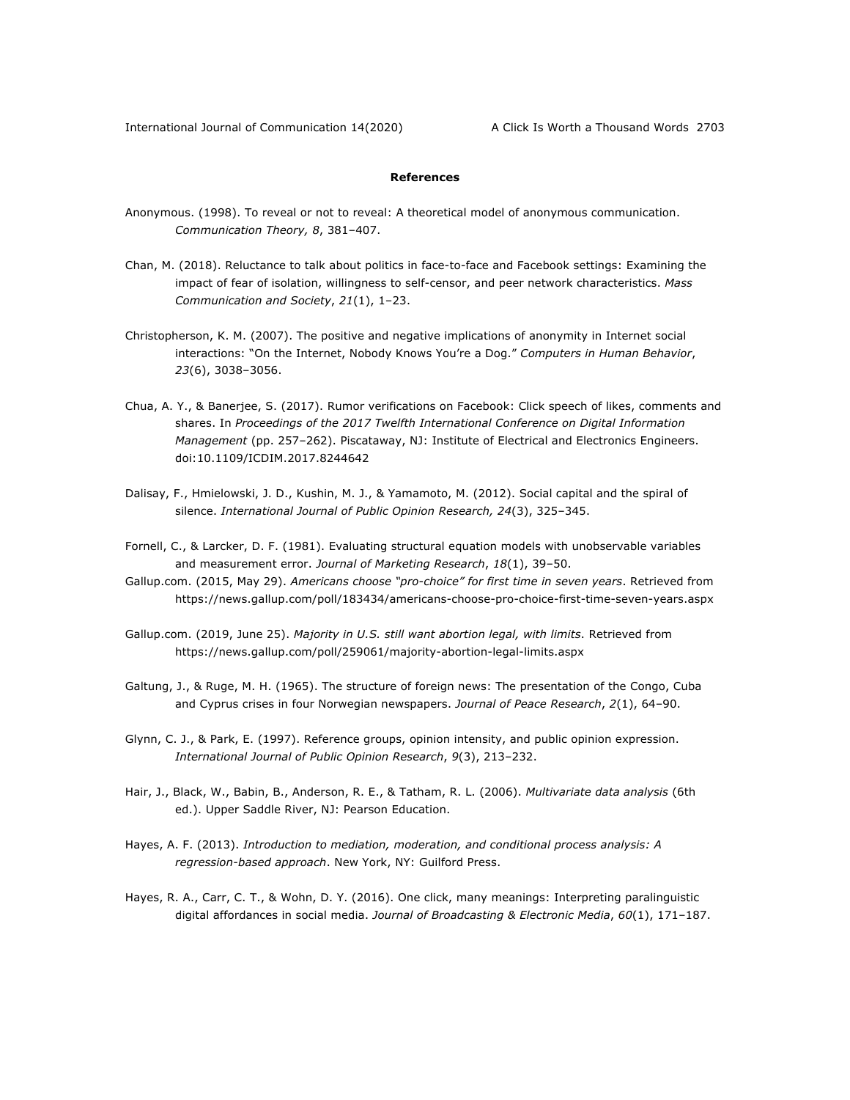## **References**

- Anonymous. (1998). To reveal or not to reveal: A theoretical model of anonymous communication. *Communication Theory, 8*, 381–407.
- Chan, M. (2018). Reluctance to talk about politics in face-to-face and Facebook settings: Examining the impact of fear of isolation, willingness to self-censor, and peer network characteristics. *Mass Communication and Society*, *21*(1), 1–23.
- Christopherson, K. M. (2007). The positive and negative implications of anonymity in Internet social interactions: "On the Internet, Nobody Knows You're a Dog." *Computers in Human Behavior*, *23*(6), 3038–3056.
- Chua, A. Y., & Banerjee, S. (2017). Rumor verifications on Facebook: Click speech of likes, comments and shares. In *Proceedings of the 2017 Twelfth International Conference on Digital Information Management* (pp. 257–262). Piscataway, NJ: Institute of Electrical and Electronics Engineers. doi:10.1109/ICDIM.2017.8244642
- Dalisay, F., Hmielowski, J. D., Kushin, M. J., & Yamamoto, M. (2012). Social capital and the spiral of silence. *International Journal of Public Opinion Research, 24*(3), 325–345.
- Fornell, C., & Larcker, D. F. (1981). Evaluating structural equation models with unobservable variables and measurement error. *Journal of Marketing Research*, *18*(1), 39–50.
- Gallup.com. (2015, May 29). *Americans choose "pro-choice" for first time in seven years*. Retrieved from https://news.gallup.com/poll/183434/americans-choose-pro-choice-first-time-seven-years.aspx
- Gallup.com. (2019, June 25). *Majority in U.S. still want abortion legal, with limits*. Retrieved from https://news.gallup.com/poll/259061/majority-abortion-legal-limits.aspx
- Galtung, J., & Ruge, M. H. (1965). The structure of foreign news: The presentation of the Congo, Cuba and Cyprus crises in four Norwegian newspapers. *Journal of Peace Research*, *2*(1), 64–90.
- Glynn, C. J., & Park, E. (1997). Reference groups, opinion intensity, and public opinion expression. *International Journal of Public Opinion Research*, *9*(3), 213–232.
- Hair, J., Black, W., Babin, B., Anderson, R. E., & Tatham, R. L. (2006). *Multivariate data analysis* (6th ed.). Upper Saddle River, NJ: Pearson Education.
- Hayes, A. F. (2013). *Introduction to mediation, moderation, and conditional process analysis: A regression-based approach*. New York, NY: Guilford Press.
- Hayes, R. A., Carr, C. T., & Wohn, D. Y. (2016). One click, many meanings: Interpreting paralinguistic digital affordances in social media. *Journal of Broadcasting & Electronic Media*, *60*(1), 171–187.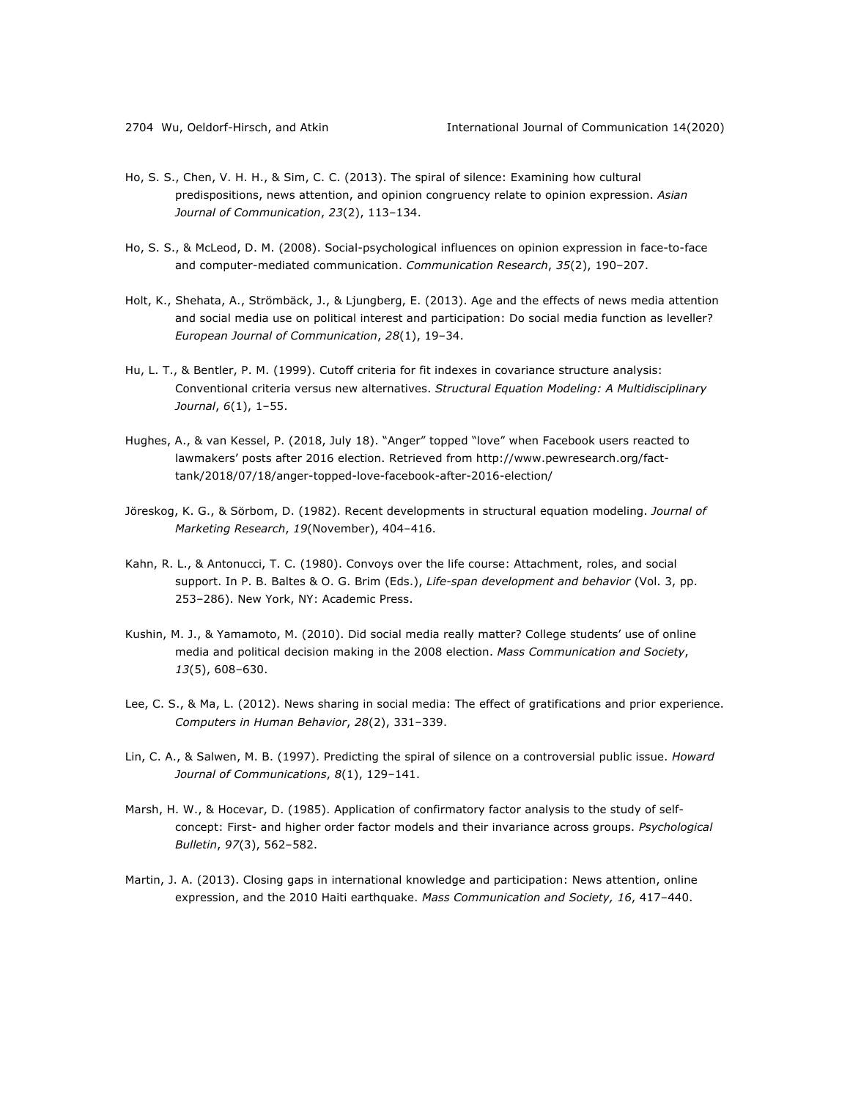- Ho, S. S., Chen, V. H. H., & Sim, C. C. (2013). The spiral of silence: Examining how cultural predispositions, news attention, and opinion congruency relate to opinion expression. *Asian Journal of Communication*, *23*(2), 113–134.
- Ho, S. S., & McLeod, D. M. (2008). Social-psychological influences on opinion expression in face-to-face and computer-mediated communication. *Communication Research*, *35*(2), 190–207.
- Holt, K., Shehata, A., Strömbäck, J., & Ljungberg, E. (2013). Age and the effects of news media attention and social media use on political interest and participation: Do social media function as leveller? *European Journal of Communication*, *28*(1), 19–34.
- Hu, L. T., & Bentler, P. M. (1999). Cutoff criteria for fit indexes in covariance structure analysis: Conventional criteria versus new alternatives. *Structural Equation Modeling: A Multidisciplinary Journal*, *6*(1), 1–55.
- Hughes, A., & van Kessel, P. (2018, July 18). "Anger" topped "love" when Facebook users reacted to lawmakers' posts after 2016 election. Retrieved from http://www.pewresearch.org/facttank/2018/07/18/anger-topped-love-facebook-after-2016-election/
- Jöreskog, K. G., & Sörbom, D. (1982). Recent developments in structural equation modeling. *Journal of Marketing Research*, *19*(November), 404–416.
- Kahn, R. L., & Antonucci, T. C. (1980). Convoys over the life course: Attachment, roles, and social support. In P. B. Baltes & O. G. Brim (Eds.), *Life-span development and behavior* (Vol. 3, pp. 253–286). New York, NY: Academic Press.
- Kushin, M. J., & Yamamoto, M. (2010). Did social media really matter? College students' use of online media and political decision making in the 2008 election. *Mass Communication and Society*, *13*(5), 608–630.
- Lee, C. S., & Ma, L. (2012). News sharing in social media: The effect of gratifications and prior experience. *Computers in Human Behavior*, *28*(2), 331–339.
- Lin, C. A., & Salwen, M. B. (1997). Predicting the spiral of silence on a controversial public issue. *Howard Journal of Communications*, *8*(1), 129–141.
- Marsh, H. W., & Hocevar, D. (1985). Application of confirmatory factor analysis to the study of selfconcept: First- and higher order factor models and their invariance across groups. *Psychological Bulletin*, *97*(3), 562–582.
- Martin, J. A. (2013). Closing gaps in international knowledge and participation: News attention, online expression, and the 2010 Haiti earthquake. *Mass Communication and Society, 16*, 417–440.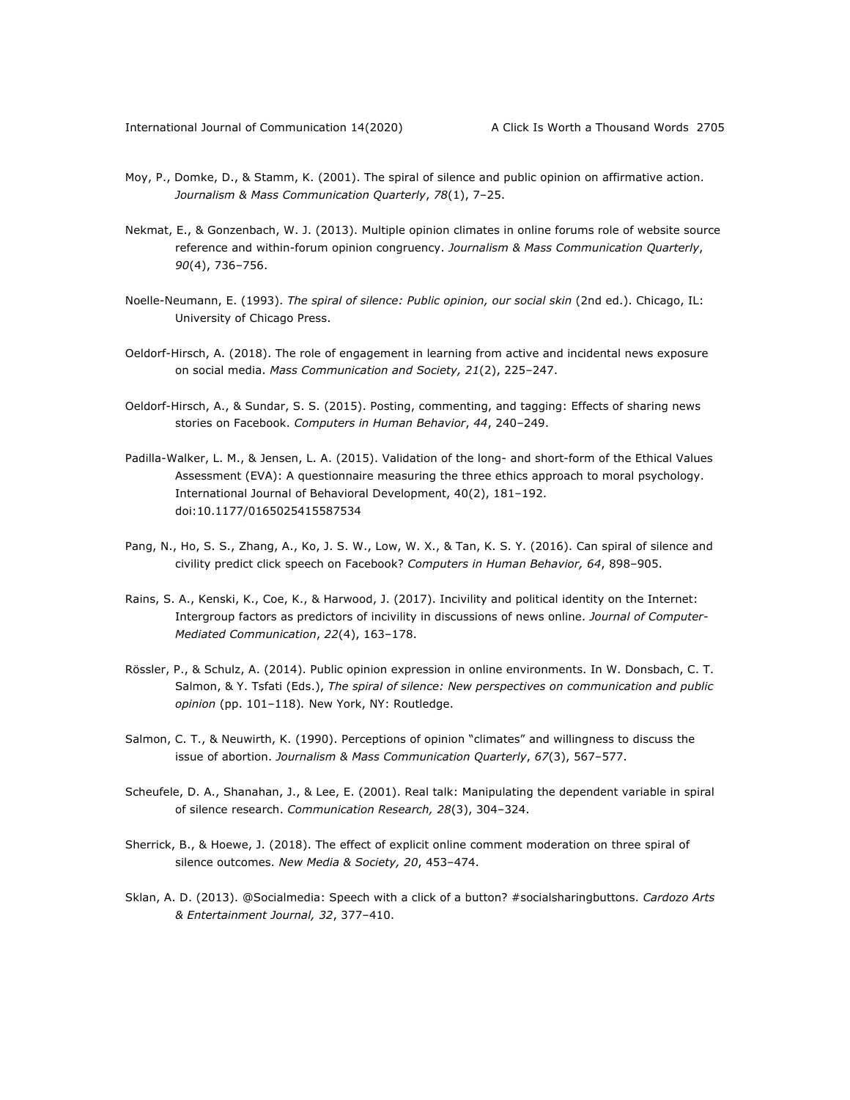- Moy, P., Domke, D., & Stamm, K. (2001). The spiral of silence and public opinion on affirmative action. *Journalism & Mass Communication Quarterly*, *78*(1), 7–25.
- Nekmat, E., & Gonzenbach, W. J. (2013). Multiple opinion climates in online forums role of website source reference and within-forum opinion congruency. *Journalism & Mass Communication Quarterly*, *90*(4), 736–756.
- Noelle-Neumann, E. (1993). *The spiral of silence: Public opinion, our social skin* (2nd ed.). Chicago, IL: University of Chicago Press.
- Oeldorf-Hirsch, A. (2018). The role of engagement in learning from active and incidental news exposure on social media. *Mass Communication and Society, 21*(2), 225–247.
- Oeldorf-Hirsch, A., & Sundar, S. S. (2015). Posting, commenting, and tagging: Effects of sharing news stories on Facebook. *Computers in Human Behavior*, *44*, 240–249.
- Padilla-Walker, L. M., & Jensen, L. A. (2015). Validation of the long- and short-form of the Ethical Values Assessment (EVA): A questionnaire measuring the three ethics approach to moral psychology. International Journal of Behavioral Development, 40(2), 181–192. doi:10.1177/0165025415587534
- Pang, N., Ho, S. S., Zhang, A., Ko, J. S. W., Low, W. X., & Tan, K. S. Y. (2016). Can spiral of silence and civility predict click speech on Facebook? *Computers in Human Behavior, 64*, 898–905.
- Rains, S. A., Kenski, K., Coe, K., & Harwood, J. (2017). Incivility and political identity on the Internet: Intergroup factors as predictors of incivility in discussions of news online. *Journal of Computer-Mediated Communication*, *22*(4), 163–178.
- Rössler, P., & Schulz, A. (2014). Public opinion expression in online environments. In W. Donsbach, C. T. Salmon, & Y. Tsfati (Eds.), *The spiral of silence: New perspectives on communication and public opinion* (pp. 101–118)*.* New York, NY: Routledge.
- Salmon, C. T., & Neuwirth, K. (1990). Perceptions of opinion "climates" and willingness to discuss the issue of abortion. *Journalism & Mass Communication Quarterly*, *67*(3), 567–577.
- Scheufele, D. A., Shanahan, J., & Lee, E. (2001). Real talk: Manipulating the dependent variable in spiral of silence research. *Communication Research, 28*(3), 304–324.
- Sherrick, B., & Hoewe, J. (2018). The effect of explicit online comment moderation on three spiral of silence outcomes. *New Media & Society, 20*, 453–474.
- Sklan, A. D. (2013). @Socialmedia: Speech with a click of a button? #socialsharingbuttons. *Cardozo Arts & Entertainment Journal, 32*, 377–410.